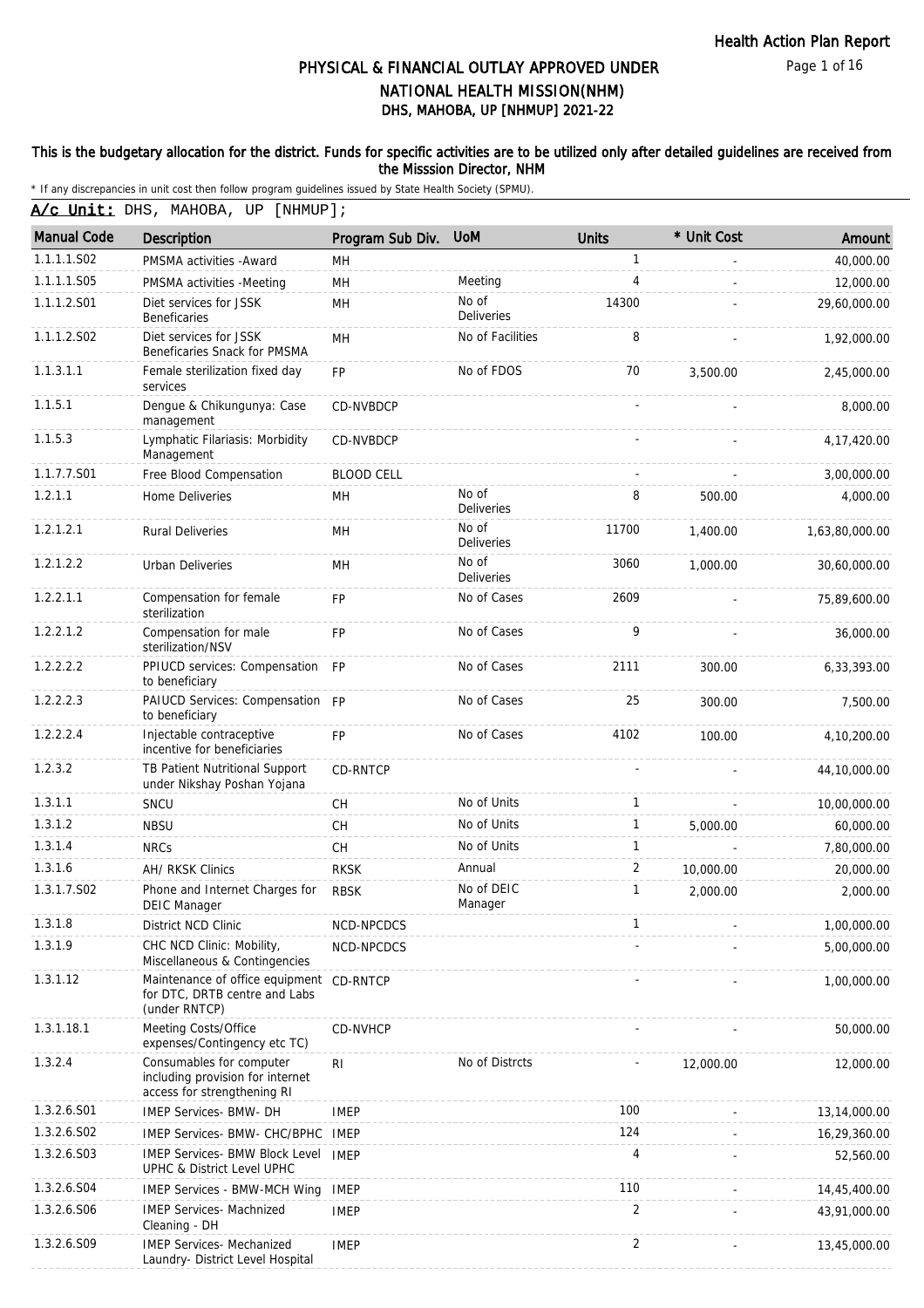Page 1 of 16

# DHS, MAHOBA, UP [NHMUP] 2021-22 PHYSICAL & FINANCIAL OUTLAY APPROVED UNDER NATIONAL HEALTH MISSION(NHM)

#### This is the budgetary allocation for the district. Funds for specific activities are to be utilized only after detailed guidelines are received from the Misssion Director, NHM

\* If any discrepancies in unit cost then follow program guidelines issued by State Health Society (SPMU).

A/c Unit: DHS, MAHOBA, UP [NHMUP];

| <b>Manual Code</b> | Description                                                                                 | Program Sub Div.  | <b>UoM</b>                 | <b>Units</b>   | * Unit Cost | Amount         |
|--------------------|---------------------------------------------------------------------------------------------|-------------------|----------------------------|----------------|-------------|----------------|
| 1.1.1.1.S02        | PMSMA activities - Award                                                                    | MН                |                            | $\mathbf{1}$   |             | 40,000.00      |
| 1.1.1.1.S05        | PMSMA activities -Meeting                                                                   | MH                | Meeting                    | 4              |             | 12,000.00      |
| 1.1.1.2.S01        | Diet services for JSSK<br>Beneficaries                                                      | MН                | No of<br><b>Deliveries</b> | 14300          |             | 29,60,000.00   |
| 1.1.1.2.S02        | Diet services for JSSK<br>Beneficaries Snack for PMSMA                                      | <b>MH</b>         | No of Facilities           | 8              |             | 1,92,000.00    |
| 1.1.3.1.1          | Female sterilization fixed day<br>services                                                  | <b>FP</b>         | No of FDOS                 | 70             | 3,500.00    | 2,45,000.00    |
| 1.1.5.1            | Dengue & Chikungunya: Case<br>management                                                    | CD-NVBDCP         |                            |                |             | 8,000.00       |
| 1.1.5.3            | Lymphatic Filariasis: Morbidity<br>Management                                               | <b>CD-NVBDCP</b>  |                            |                |             | 4, 17, 420.00  |
| 1.1.7.7.S01        | Free Blood Compensation                                                                     | <b>BLOOD CELL</b> |                            |                |             | 3,00,000.00    |
| 1.2.1.1            | Home Deliveries                                                                             | MH                | No of<br>Deliveries        | 8              | 500.00      | 4,000.00       |
| 1.2.1.2.1          | <b>Rural Deliveries</b>                                                                     | MH                | No of<br><b>Deliveries</b> | 11700          | 1,400.00    | 1,63,80,000.00 |
| 1.2.1.2.2          | <b>Urban Deliveries</b>                                                                     | MН                | No of<br><b>Deliveries</b> | 3060           | 1,000.00    | 30,60,000.00   |
| 1.2.2.1.1          | Compensation for female<br>sterilization                                                    | FP                | No of Cases                | 2609           |             | 75,89,600.00   |
| 1.2.2.1.2          | Compensation for male<br>sterilization/NSV                                                  | <b>FP</b>         | No of Cases                | 9              |             | 36,000.00      |
| 1.2.2.2.2          | PPIUCD services: Compensation FP<br>to beneficiary                                          |                   | No of Cases                | 2111           | 300.00      | 6,33,393.00    |
| 1.2.2.2.3          | PAIUCD Services: Compensation FP<br>to beneficiary                                          |                   | No of Cases                | 25             | 300.00      | 7,500.00       |
| 1.2.2.2.4          | Injectable contraceptive<br>incentive for beneficiaries                                     | <b>FP</b>         | No of Cases                | 4102           | 100.00      | 4,10,200.00    |
| 1.2.3.2            | TB Patient Nutritional Support<br>under Nikshay Poshan Yojana                               | CD-RNTCP          |                            |                |             | 44,10,000.00   |
| 1.3.1.1            | SNCU                                                                                        | CH                | No of Units                | $\mathbf{1}$   |             | 10,00,000.00   |
| 1.3.1.2            | <b>NBSU</b>                                                                                 | <b>CH</b>         | No of Units                | $\mathbf{1}$   | 5,000.00    | 60,000.00      |
| 1.3.1.4            | <b>NRCs</b>                                                                                 | CH                | No of Units                | $\mathbf{1}$   |             | 7,80,000.00    |
| 1.3.1.6            | AH/ RKSK Clinics                                                                            | <b>RKSK</b>       | Annual                     | $\overline{2}$ | 10,000.00   | 20,000.00      |
| 1.3.1.7.S02        | Phone and Internet Charges for<br><b>DEIC Manager</b>                                       | <b>RBSK</b>       | No of DEIC<br>Manager      | $\mathbf{1}$   | 2,000.00    | 2,000.00       |
| 1.3.1.8            | District NCD Clinic                                                                         | NCD-NPCDCS        |                            | 1              |             | 1,00,000.00    |
| 1.3.1.9            | CHC NCD Clinic: Mobility,<br>Miscellaneous & Contingencies                                  | NCD-NPCDCS        |                            |                |             | 5,00,000.00    |
| 1.3.1.12           | Maintenance of office equipment CD-RNTCP<br>for DTC, DRTB centre and Labs<br>(under RNTCP)  |                   |                            |                |             | 1,00,000.00    |
| 1.3.1.18.1         | Meeting Costs/Office<br>expenses/Contingency etc TC)                                        | <b>CD-NVHCP</b>   |                            |                |             | 50,000.00      |
| 1.3.2.4            | Consumables for computer<br>including provision for internet<br>access for strengthening RI | RI                | No of Distrcts             |                | 12,000.00   | 12,000.00      |
| 1.3.2.6.S01        | <b>IMEP Services- BMW- DH</b>                                                               | <b>IMEP</b>       |                            | 100            |             | 13,14,000.00   |
| 1.3.2.6.S02        | IMEP Services- BMW- CHC/BPHC                                                                | IMEP              |                            | 124            |             | 16,29,360.00   |
| 1.3.2.6.S03        | <b>IMEP Services- BMW Block Level IMEP</b><br>UPHC & District Level UPHC                    |                   |                            | 4              |             | 52,560.00      |
| 1.3.2.6.S04        | <b>IMEP Services - BMW-MCH Wing</b>                                                         | IMEP              |                            | 110            |             | 14,45,400.00   |
| 1.3.2.6.S06        | <b>IMEP Services- Machnized</b><br>Cleaning - DH                                            | <b>IMEP</b>       |                            | 2              |             | 43,91,000.00   |
| 1.3.2.6.S09        | <b>IMEP Services- Mechanized</b><br>Laundry- District Level Hospital                        | <b>IMEP</b>       |                            | $\overline{2}$ |             | 13,45,000.00   |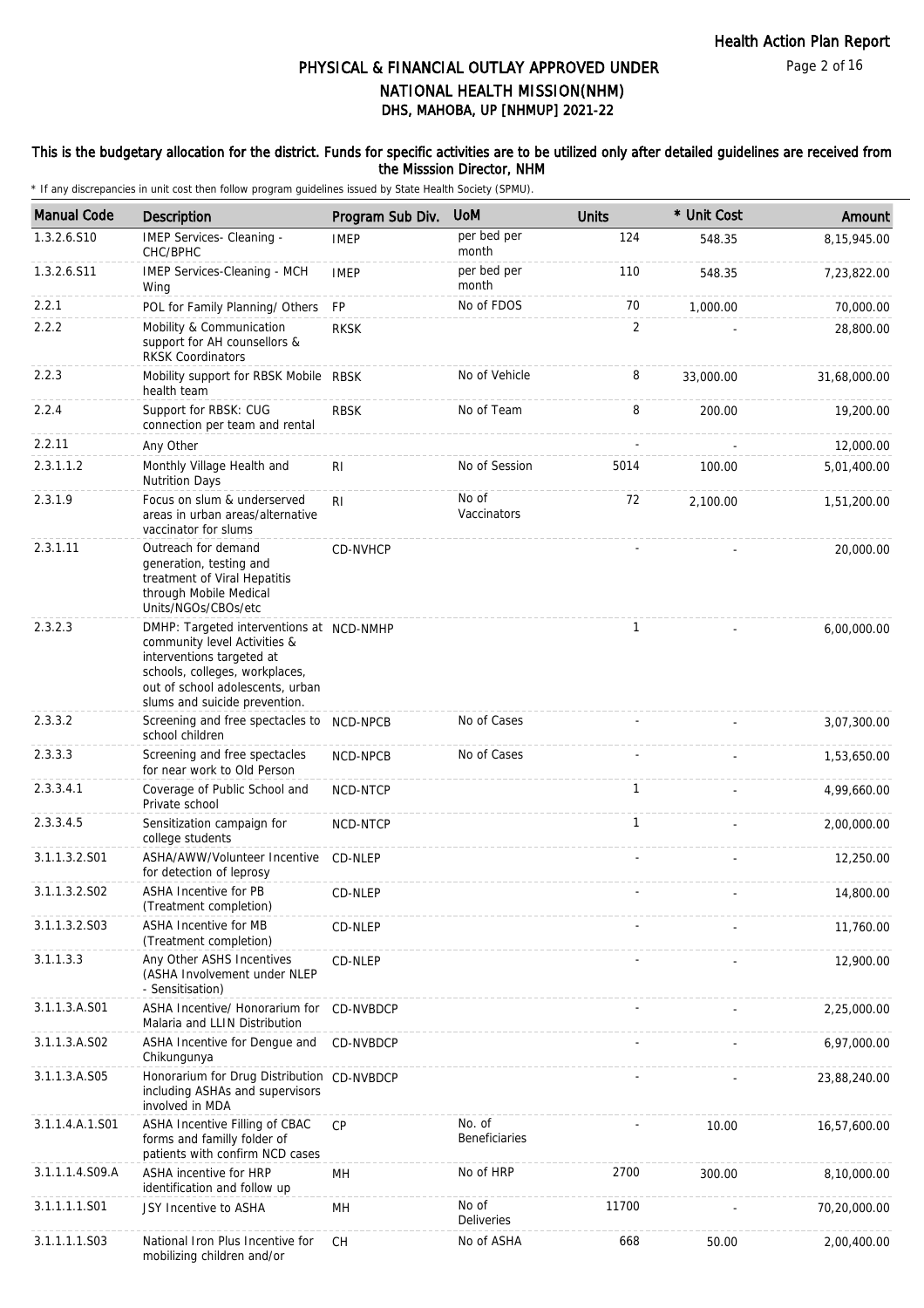### This is the budgetary allocation for the district. Funds for specific activities are to be utilized only after detailed guidelines are received from the Misssion Director, NHM

| <b>Manual Code</b>        | Description                                                                                                                                                                                                  | Program Sub Div. | <b>UoM</b>                     | <b>Units</b>   | * Unit Cost | Amount       |
|---------------------------|--------------------------------------------------------------------------------------------------------------------------------------------------------------------------------------------------------------|------------------|--------------------------------|----------------|-------------|--------------|
| 1.3.2.6.S10               | IMEP Services- Cleaning -<br>CHC/BPHC                                                                                                                                                                        | <b>IMEP</b>      | per bed per<br>month           | 124            | 548.35      | 8,15,945.00  |
| 1.3.2.6.S11               | IMEP Services-Cleaning - MCH<br>Wing                                                                                                                                                                         | <b>IMEP</b>      | per bed per<br>month           | 110            | 548.35      | 7,23,822.00  |
| 2.2.1                     | POL for Family Planning/ Others                                                                                                                                                                              | <b>FP</b>        | No of FDOS                     | 70             | 1,000.00    | 70,000.00    |
| 2.2.2                     | Mobility & Communication<br>support for AH counsellors &<br><b>RKSK Coordinators</b>                                                                                                                         | <b>RKSK</b>      |                                | $\overline{2}$ |             | 28,800.00    |
| 2.2.3                     | Mobility support for RBSK Mobile RBSK<br>health team                                                                                                                                                         |                  | No of Vehicle                  | 8              | 33,000.00   | 31,68,000.00 |
| 2.2.4                     | Support for RBSK: CUG<br>connection per team and rental                                                                                                                                                      | <b>RBSK</b>      | No of Team                     | 8              | 200.00      | 19,200.00    |
| 2.2.11                    | Any Other                                                                                                                                                                                                    |                  |                                |                |             | 12,000.00    |
| 2.3.1.1.2                 | Monthly Village Health and<br><b>Nutrition Days</b>                                                                                                                                                          | R <sub>1</sub>   | No of Session                  | 5014           | 100.00      | 5,01,400.00  |
| 2.3.1.9                   | Focus on slum & underserved<br>areas in urban areas/alternative<br>vaccinator for slums                                                                                                                      | R <sub>l</sub>   | No of<br>Vaccinators           | 72             | 2.100.00    | 1,51,200.00  |
| 2.3.1.11                  | Outreach for demand<br>generation, testing and<br>treatment of Viral Hepatitis<br>through Mobile Medical<br>Units/NGOs/CBOs/etc                                                                              | CD-NVHCP         |                                |                |             | 20,000.00    |
| 2.3.2.3                   | DMHP: Targeted interventions at NCD-NMHP<br>community level Activities &<br>interventions targeted at<br>schools, colleges, workplaces,<br>out of school adolescents, urban<br>slums and suicide prevention. |                  |                                | 1              |             | 6,00,000.00  |
| 2.3.3.2                   | Screening and free spectacles to NCD-NPCB<br>school children                                                                                                                                                 |                  | No of Cases                    |                |             | 3,07,300.00  |
| 2.3.3.3                   | Screening and free spectacles<br>for near work to Old Person                                                                                                                                                 | NCD-NPCB         | No of Cases                    |                |             | 1,53,650.00  |
| 2.3.3.4.1                 | Coverage of Public School and<br>Private school                                                                                                                                                              | NCD-NTCP         |                                | 1              |             | 4,99,660.00  |
| 2.3.3.4.5                 | Sensitization campaign for<br>college students                                                                                                                                                               | NCD-NTCP         |                                | $\mathbf{1}$   |             | 2,00,000.00  |
| 3.1.1.3.2.S01             | ASHA/AWW/Volunteer Incentive<br>for detection of leprosy                                                                                                                                                     | CD-NLEP          |                                |                |             | 12,250.00    |
| 3.1.1.3.2.SO <sub>2</sub> | ASHA Incentive for PB<br>(Treatment completion)                                                                                                                                                              | CD-NLEP          |                                |                |             | 14,800.00    |
| 3.1.1.3.2.S03             | ASHA Incentive for MB<br>(Treatment completion)                                                                                                                                                              | CD-NLEP          |                                |                |             | 11,760.00    |
| 3.1.1.3.3                 | Any Other ASHS Incentives<br>(ASHA Involvement under NLEP<br>- Sensitisation)                                                                                                                                | CD-NLEP          |                                |                |             | 12,900.00    |
| 3.1.1.3.A.S01             | ASHA Incentive/ Honorarium for<br>Malaria and LLIN Distribution                                                                                                                                              | CD-NVBDCP        |                                |                |             | 2,25,000.00  |
| 3.1.1.3.A.S02             | ASHA Incentive for Dengue and<br>Chikungunya                                                                                                                                                                 | CD-NVBDCP        |                                |                |             | 6,97,000.00  |
| 3.1.1.3.A.S05             | Honorarium for Drug Distribution CD-NVBDCP<br>including ASHAs and supervisors<br>involved in MDA                                                                                                             |                  |                                |                |             | 23,88,240.00 |
| 3.1.1.4.A.1.S01           | ASHA Incentive Filling of CBAC<br>forms and familly folder of<br>patients with confirm NCD cases                                                                                                             | <b>CP</b>        | No. of<br><b>Beneficiaries</b> |                | 10.00       | 16,57,600.00 |
| 3.1.1.1.4.S09.A           | ASHA incentive for HRP<br>identification and follow up                                                                                                                                                       | MН               | No of HRP                      | 2700           | 300.00      | 8,10,000.00  |
| 3.1.1.1.1.S01             | JSY Incentive to ASHA                                                                                                                                                                                        | MН               | No of<br><b>Deliveries</b>     | 11700          |             | 70,20,000.00 |
| 3.1.1.1.1.S03             | National Iron Plus Incentive for<br>mobilizing children and/or                                                                                                                                               | СH               | No of ASHA                     | 668            | 50.00       | 2,00,400.00  |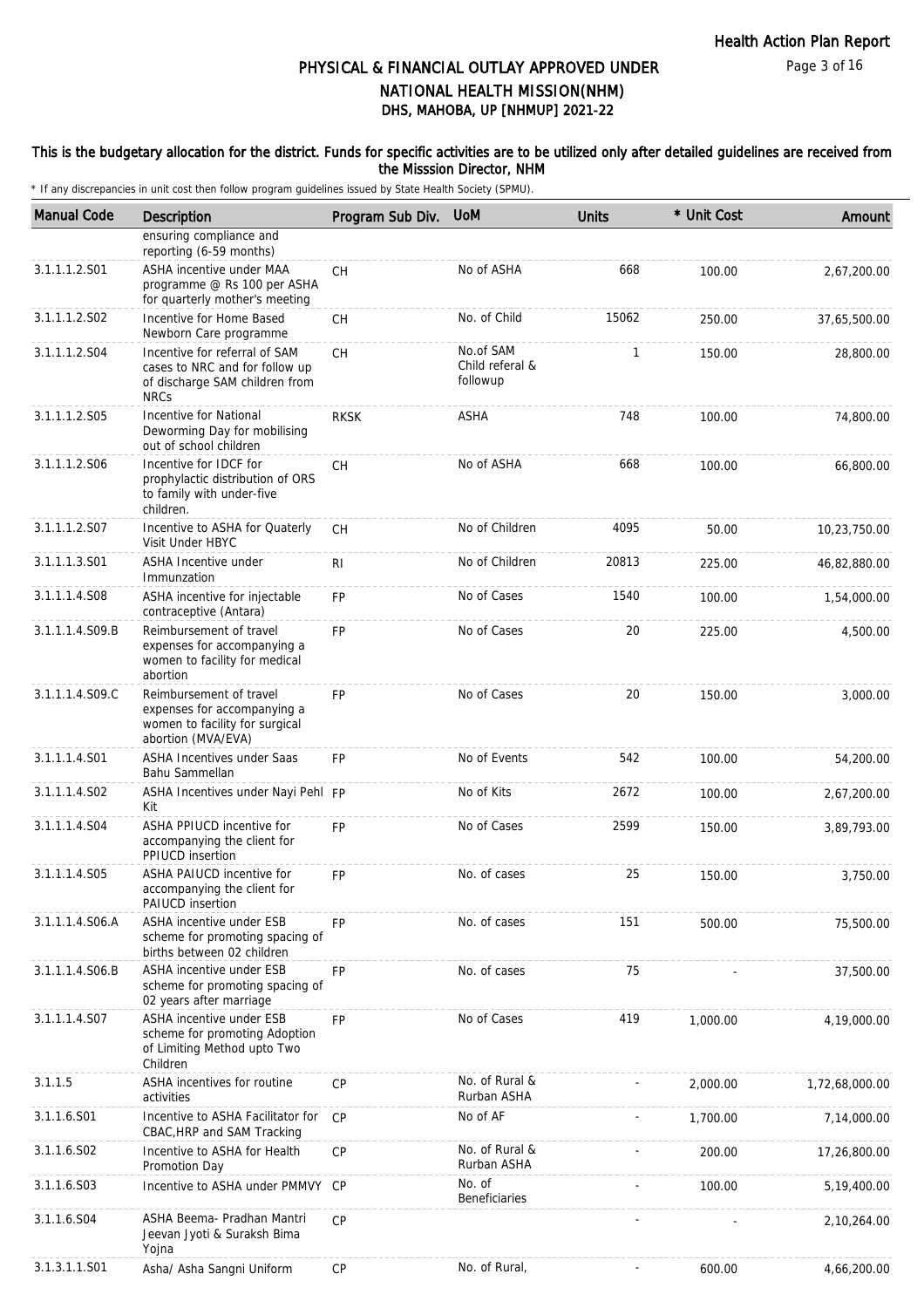#### This is the budgetary allocation for the district. Funds for specific activities are to be utilized only after detailed guidelines are received from the Misssion Director, NHM

| <b>Manual Code</b> | <b>Description</b>                                                                                               | Program Sub Div. UoM |                                          | <b>Units</b> | * Unit Cost | Amount         |
|--------------------|------------------------------------------------------------------------------------------------------------------|----------------------|------------------------------------------|--------------|-------------|----------------|
|                    | ensuring compliance and<br>reporting (6-59 months)                                                               |                      |                                          |              |             |                |
| 3.1.1.1.2.S01      | ASHA incentive under MAA<br>programme @ Rs 100 per ASHA<br>for quarterly mother's meeting                        | CH                   | No of ASHA                               | 668          | 100.00      | 2,67,200.00    |
| 3.1.1.1.2.S02      | Incentive for Home Based<br>Newborn Care programme                                                               | <b>CH</b>            | No. of Child                             | 15062        | 250.00      | 37,65,500.00   |
| 3.1.1.1.2.S04      | Incentive for referral of SAM<br>cases to NRC and for follow up<br>of discharge SAM children from<br><b>NRCs</b> | СH                   | No.of SAM<br>Child referal &<br>followup | $\mathbf{1}$ | 150.00      | 28,800.00      |
| 3.1.1.1.2.S05      | Incentive for National<br>Deworming Day for mobilising<br>out of school children                                 | <b>RKSK</b>          | ASHA                                     | 748          | 100.00      | 74,800.00      |
| 3.1.1.1.2.S06      | Incentive for IDCF for<br>prophylactic distribution of ORS<br>to family with under-five<br>children.             | CН                   | No of ASHA                               | 668          | 100.00      | 66,800.00      |
| 3.1.1.1.2.S07      | Incentive to ASHA for Quaterly<br>Visit Under HBYC                                                               | СH                   | No of Children                           | 4095         | 50.00       | 10,23,750.00   |
| 3.1.1.1.3.S01      | ASHA Incentive under<br>Immunzation                                                                              | RI                   | No of Children                           | 20813        | 225.00      | 46,82,880.00   |
| 3.1.1.1.4.S08      | ASHA incentive for injectable<br>contraceptive (Antara)                                                          | FP                   | No of Cases                              | 1540         | 100.00      | 1,54,000.00    |
| 3.1.1.1.4.S09.B    | Reimbursement of travel<br>expenses for accompanying a<br>women to facility for medical<br>abortion              | <b>FP</b>            | No of Cases                              | 20           | 225.00      | 4,500.00       |
| 3.1.1.1.4.S09.C    | Reimbursement of travel<br>expenses for accompanying a<br>women to facility for surgical<br>abortion (MVA/EVA)   | <b>FP</b>            | No of Cases                              | 20           | 150.00      | 3,000.00       |
| 3.1.1.1.4.S01      | ASHA Incentives under Saas<br>Bahu Sammellan                                                                     | <b>FP</b>            | No of Events                             | 542          | 100.00      | 54,200.00      |
| 3.1.1.1.4.S02      | ASHA Incentives under Nayi Pehl FP<br>Kit                                                                        |                      | No of Kits                               | 2672         | 100.00      | 2,67,200.00    |
| 3.1.1.1.4.S04      | ASHA PPIUCD incentive for<br>accompanying the client for<br>PPIUCD insertion                                     | <b>FP</b>            | No of Cases                              | 2599         | 150.00      | 3,89,793.00    |
| 3.1.1.1.4.S05      | ASHA PAIUCD incentive for<br>accompanying the client for<br><b>PAIUCD</b> insertion                              | FP.                  | No. of cases                             | 25           | 150.00      | 3,750.00       |
| 3.1.1.1.4.S06.A    | ASHA incentive under ESB<br>scheme for promoting spacing of<br>births between 02 children                        | <b>FP</b>            | No. of cases                             | 151          | 500.00      | 75,500.00      |
| 3.1.1.1.4.S06.B    | ASHA incentive under ESB<br>scheme for promoting spacing of<br>02 years after marriage                           | FP                   | No. of cases                             | 75           |             | 37,500.00      |
| 3.1.1.1.4.S07      | ASHA incentive under ESB<br>scheme for promoting Adoption<br>of Limiting Method upto Two<br>Children             | FP                   | No of Cases                              | 419          | 1,000.00    | 4,19,000.00    |
| 3.1.1.5            | ASHA incentives for routine<br>activities                                                                        | <b>CP</b>            | No. of Rural &<br>Rurban ASHA            |              | 2,000.00    | 1,72,68,000.00 |
| 3.1.1.6.S01        | Incentive to ASHA Facilitator for<br>CBAC, HRP and SAM Tracking                                                  | CP                   | No of AF                                 |              | 1,700.00    | 7,14,000.00    |
| 3.1.1.6.S02        | Incentive to ASHA for Health<br>Promotion Day                                                                    | <b>CP</b>            | No. of Rural &<br>Rurban ASHA            |              | 200.00      | 17,26,800.00   |
| 3.1.1.6.S03        | Incentive to ASHA under PMMVY                                                                                    | СP                   | No. of<br>Beneficiaries                  |              | 100.00      | 5,19,400.00    |
| 3.1.1.6.S04        | ASHA Beema- Pradhan Mantri<br>Jeevan Jyoti & Suraksh Bima<br>Yojna                                               | <b>CP</b>            |                                          |              |             | 2,10,264.00    |
| 3.1.3.1.1.S01      | Asha/ Asha Sangni Uniform                                                                                        | CP                   | No. of Rural,                            | ÷,           | 600.00      | 4,66,200.00    |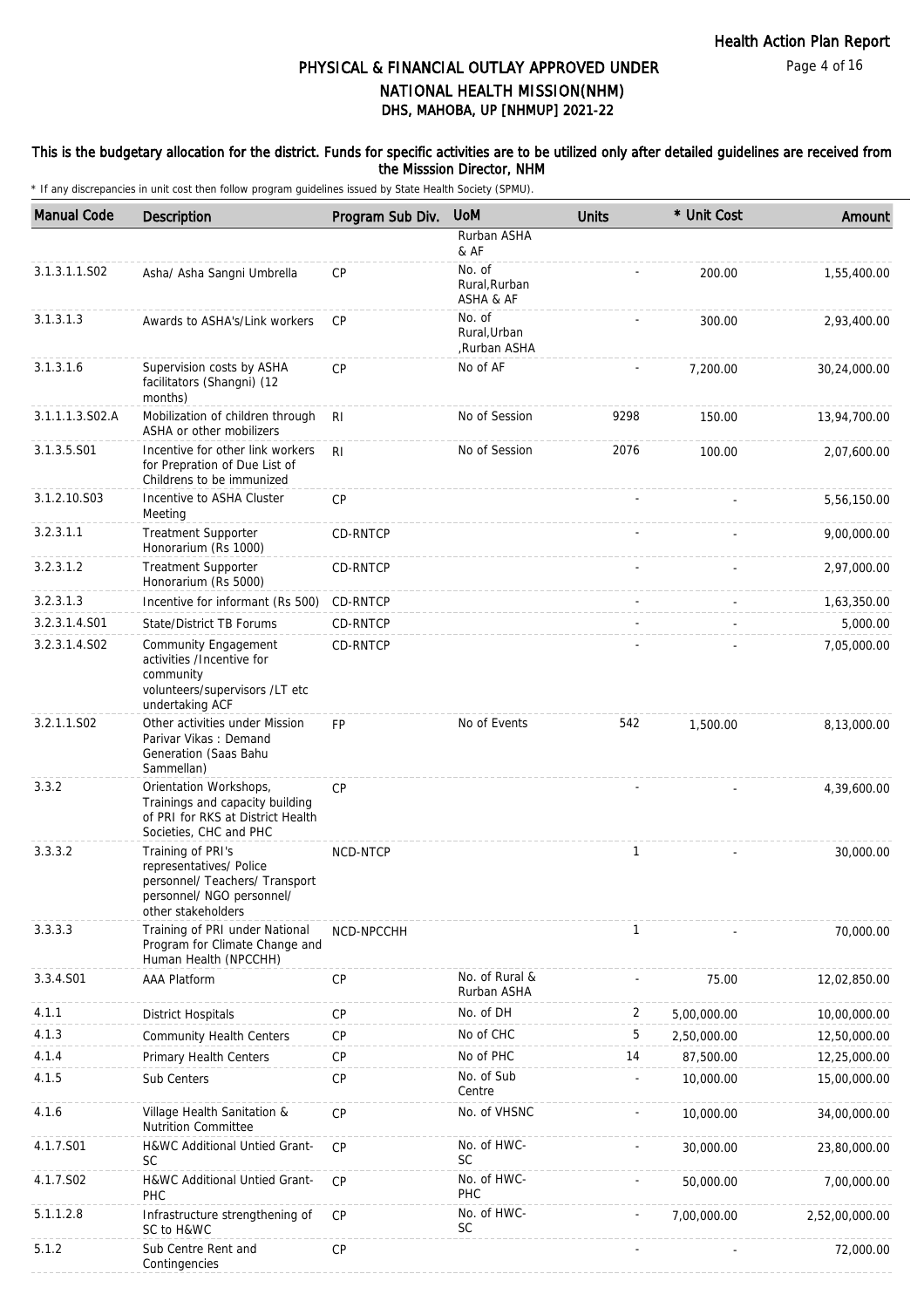#### This is the budgetary allocation for the district. Funds for specific activities are to be utilized only after detailed guidelines are received from the Misssion Director, NHM

| <b>Manual Code</b> | Description                                                                                                                       | Program Sub Div. | <b>UoM</b>                             | <b>Units</b> | * Unit Cost | Amount         |
|--------------------|-----------------------------------------------------------------------------------------------------------------------------------|------------------|----------------------------------------|--------------|-------------|----------------|
|                    |                                                                                                                                   |                  | Rurban ASHA<br>& AF                    |              |             |                |
| 3.1.3.1.1.S02      | Asha/ Asha Sangni Umbrella                                                                                                        | <b>CP</b>        | No. of<br>Rural, Rurban<br>ASHA & AF   |              | 200.00      | 1,55,400.00    |
| 3.1.3.1.3          | Awards to ASHA's/Link workers                                                                                                     | <b>CP</b>        | No. of<br>Rural, Urban<br>Rurban ASHA, |              | 300.00      | 2,93,400.00    |
| 3.1.3.1.6          | Supervision costs by ASHA<br>facilitators (Shangni) (12<br>months)                                                                | CP               | No of AF                               |              | 7,200.00    | 30,24,000.00   |
| 3.1.1.1.3.S02.A    | Mobilization of children through<br>ASHA or other mobilizers                                                                      | R <sub>l</sub>   | No of Session                          | 9298         | 150.00      | 13,94,700.00   |
| 3.1.3.5.S01        | Incentive for other link workers<br>for Prepration of Due List of<br>Childrens to be immunized                                    | R <sub>l</sub>   | No of Session                          | 2076         | 100.00      | 2,07,600.00    |
| 3.1.2.10.S03       | Incentive to ASHA Cluster<br>Meeting                                                                                              | CP               |                                        |              |             | 5,56,150.00    |
| 3.2.3.1.1          | <b>Treatment Supporter</b><br>Honorarium (Rs 1000)                                                                                | CD-RNTCP         |                                        |              |             | 9,00,000.00    |
| 3.2.3.1.2          | <b>Treatment Supporter</b><br>Honorarium (Rs 5000)                                                                                | <b>CD-RNTCP</b>  |                                        |              |             | 2,97,000.00    |
| 3.2.3.1.3          | Incentive for informant (Rs 500)                                                                                                  | CD-RNTCP         |                                        |              |             | 1,63,350.00    |
| 3.2.3.1.4.S01      | State/District TB Forums                                                                                                          | CD-RNTCP         |                                        |              |             | 5,000.00       |
| 3.2.3.1.4.S02      | Community Engagement<br>activities /Incentive for<br>community<br>volunteers/supervisors /LT etc<br>undertaking ACF               | CD-RNTCP         |                                        |              |             | 7,05,000.00    |
| 3.2.1.1.S02        | Other activities under Mission<br>Parivar Vikas: Demand<br>Generation (Saas Bahu<br>Sammellan)                                    | <b>FP</b>        | No of Events                           | 542          | 1,500.00    | 8,13,000.00    |
| 3.3.2              | Orientation Workshops,<br>Trainings and capacity building<br>of PRI for RKS at District Health<br>Societies, CHC and PHC          | CP               |                                        |              |             | 4,39,600.00    |
| 3.3.3.2            | Training of PRI's<br>representatives/ Police<br>personnel/ Teachers/ Transport<br>personnel/ NGO personnel/<br>other stakeholders | NCD-NTCP         |                                        | $\mathbf{1}$ |             | 30,000.00      |
| 3.3.3.3            | Training of PRI under National<br>Program for Climate Change and<br>Human Health (NPCCHH)                                         | NCD-NPCCHH       |                                        | 1            |             | 70,000.00      |
| 3.3.4.S01          | AAA Platform                                                                                                                      | <b>CP</b>        | No. of Rural &<br>Rurban ASHA          |              | 75.00       | 12,02,850.00   |
| 4.1.1              | <b>District Hospitals</b>                                                                                                         | CP               | No. of DH                              | 2            | 5,00,000.00 | 10,00,000.00   |
| 4.1.3              | <b>Community Health Centers</b>                                                                                                   | <b>CP</b>        | No of CHC                              | 5            | 2,50,000.00 | 12,50,000.00   |
| 4.1.4              | Primary Health Centers                                                                                                            | <b>CP</b>        | No of PHC                              | 14           | 87,500.00   | 12,25,000.00   |
| 4.1.5              | Sub Centers                                                                                                                       | CP               | No. of Sub<br>Centre                   |              | 10,000.00   | 15,00,000.00   |
| 4.1.6              | Village Health Sanitation &<br><b>Nutrition Committee</b>                                                                         | CP               | No. of VHSNC                           |              | 10,000.00   | 34,00,000.00   |
| 4.1.7.S01          | H&WC Additional Untied Grant-<br><b>SC</b>                                                                                        | CP               | No. of HWC-<br><b>SC</b>               |              | 30,000.00   | 23,80,000.00   |
| 4.1.7.S02          | H&WC Additional Untied Grant-<br>PHC                                                                                              | CP               | No. of HWC-<br>PHC                     |              | 50,000.00   | 7,00,000.00    |
| 5.1.1.2.8          | Infrastructure strengthening of<br>SC to H&WC                                                                                     | <b>CP</b>        | No. of HWC-<br>SC                      |              | 7,00,000.00 | 2,52,00,000.00 |
| 5.1.2              | Sub Centre Rent and<br>Contingencies                                                                                              | CP               |                                        |              |             | 72,000.00      |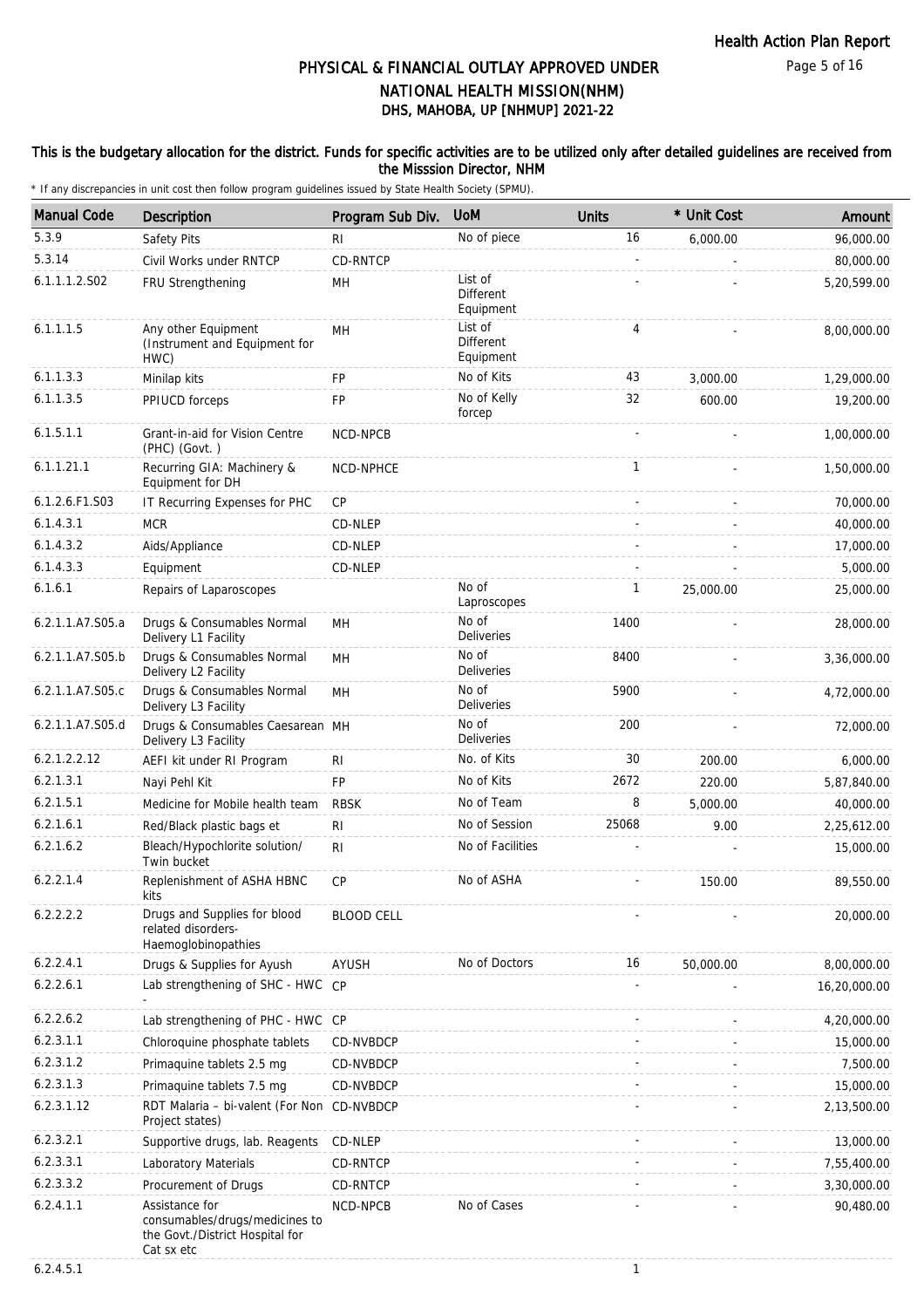### This is the budgetary allocation for the district. Funds for specific activities are to be utilized only after detailed guidelines are received from the Misssion Director, NHM

\* If any discrepancies in unit cost then follow program guidelines issued by State Health Society (SPMU).

| <b>Manual Code</b> | Description                                                                                       | Program Sub Div.  | <b>UoM</b>                               | <b>Units</b> | * Unit Cost | Amount       |
|--------------------|---------------------------------------------------------------------------------------------------|-------------------|------------------------------------------|--------------|-------------|--------------|
| 5.3.9              | Safety Pits                                                                                       | RI                | No of piece                              | 16           | 6,000.00    | 96,000.00    |
| 5.3.14             | Civil Works under RNTCP                                                                           | CD-RNTCP          |                                          |              |             | 80,000.00    |
| 6.1.1.1.2.S02      | FRU Strengthening                                                                                 | MН                | List of<br>Different<br>Equipment        |              |             | 5,20,599.00  |
| 6.1.1.1.5          | Any other Equipment<br>(Instrument and Equipment for<br>HWC)                                      | MH                | List of<br><b>Different</b><br>Equipment | 4            |             | 8,00,000.00  |
| 6.1.1.3.3          | Minilap kits                                                                                      | <b>FP</b>         | No of Kits                               | 43           | 3,000.00    | 1,29,000.00  |
| 6.1.1.3.5          | PPIUCD forceps                                                                                    | FP                | No of Kelly<br>forcep                    | 32           | 600.00      | 19,200.00    |
| 6.1.5.1.1          | Grant-in-aid for Vision Centre<br>(PHC) (Govt.)                                                   | NCD-NPCB          |                                          |              |             | 1,00,000.00  |
| 6.1.1.21.1         | Recurring GIA: Machinery &<br>Equipment for DH                                                    | NCD-NPHCE         |                                          | 1            |             | 1,50,000.00  |
| 6.1.2.6.F1.S03     | IT Recurring Expenses for PHC                                                                     | СP                |                                          |              |             | 70,000.00    |
| 6.1.4.3.1          | <b>MCR</b>                                                                                        | CD-NLEP           |                                          |              |             | 40,000.00    |
| 6.1.4.3.2          | Aids/Appliance                                                                                    | CD-NLEP           |                                          |              |             | 17,000.00    |
| 6.1.4.3.3          | Equipment                                                                                         | CD-NLEP           |                                          |              |             | 5,000.00     |
| 6.1.6.1            | Repairs of Laparoscopes                                                                           |                   | No of<br>Laproscopes                     | 1            | 25,000.00   | 25,000.00    |
| 6.2.1.1.A7.S05.a   | Drugs & Consumables Normal<br>Delivery L1 Facility                                                | MH                | No of<br><b>Deliveries</b>               | 1400         |             | 28,000.00    |
| 6.2.1.1.A7.S05.b   | Drugs & Consumables Normal<br>Delivery L2 Facility                                                | MH                | No of<br><b>Deliveries</b>               | 8400         |             | 3,36,000.00  |
| 6.2.1.1.A7.S05.c   | Drugs & Consumables Normal<br>Delivery L3 Facility                                                | MH                | No of<br>Deliveries                      | 5900         |             | 4,72,000.00  |
| 6.2.1.1.A7.S05.d   | Drugs & Consumables Caesarean MH<br>Delivery L3 Facility                                          |                   | No of<br><b>Deliveries</b>               | 200          |             | 72,000.00    |
| 6.2.1.2.2.12       | AEFI kit under RI Program                                                                         | RI                | No. of Kits                              | 30           | 200.00      | 6,000.00     |
| 6.2.1.3.1          | Nayi Pehl Kit                                                                                     | <b>FP</b>         | No of Kits                               | 2672         | 220.00      | 5,87,840.00  |
| 6.2.1.5.1          | Medicine for Mobile health team                                                                   | <b>RBSK</b>       | No of Team                               | 8            | 5,000.00    | 40,000.00    |
| 6.2.1.6.1          | Red/Black plastic bags et                                                                         | RI                | No of Session                            | 25068        | 9.00        | 2,25,612.00  |
| 6.2.1.6.2          | Bleach/Hypochlorite solution/<br>Twin bucket                                                      | RI                | No of Facilities                         |              |             | 15,000.00    |
| 6.2.2.1.4          | Replenishment of ASHA HBNC<br>kits                                                                | CP                | No of ASHA                               |              | 150.00      | 89,550.00    |
| 6.2.2.2.2          | Drugs and Supplies for blood<br>related disorders-<br>Haemoglobinopathies                         | <b>BLOOD CELL</b> |                                          |              |             | 20,000.00    |
| 6.2.2.4.1          | Drugs & Supplies for Ayush                                                                        | AYUSH             | No of Doctors                            | 16           | 50,000.00   | 8,00,000.00  |
| 6.2.2.6.1          | Lab strengthening of SHC - HWC CP                                                                 |                   |                                          |              |             | 16,20,000.00 |
| 6.2.2.6.2          | Lab strengthening of PHC - HWC CP                                                                 |                   |                                          |              |             | 4,20,000.00  |
| 6.2.3.1.1          | Chloroquine phosphate tablets                                                                     | CD-NVBDCP         |                                          |              |             | 15,000.00    |
| 6.2.3.1.2          | Primaquine tablets 2.5 mg                                                                         | CD-NVBDCP         |                                          |              |             | 7,500.00     |
| 6.2.3.1.3          | Primaquine tablets 7.5 mg                                                                         | CD-NVBDCP         |                                          |              |             | 15,000.00    |
| 6.2.3.1.12         | RDT Malaria - bi-valent (For Non CD-NVBDCP<br>Project states)                                     |                   |                                          |              |             | 2,13,500.00  |
| 6.2.3.2.1          | Supportive drugs, lab. Reagents                                                                   | CD-NLEP           |                                          |              |             | 13,000.00    |
| 6.2.3.3.1          | Laboratory Materials                                                                              | CD-RNTCP          |                                          |              |             | 7,55,400.00  |
| 6.2.3.3.2          | Procurement of Drugs                                                                              | CD-RNTCP          |                                          |              |             | 3,30,000.00  |
| 6.2.4.1.1          | Assistance for<br>consumables/drugs/medicines to<br>the Govt./District Hospital for<br>Cat sx etc | NCD-NPCB          | No of Cases                              |              |             | 90,480.00    |

6.2.4.5.1 1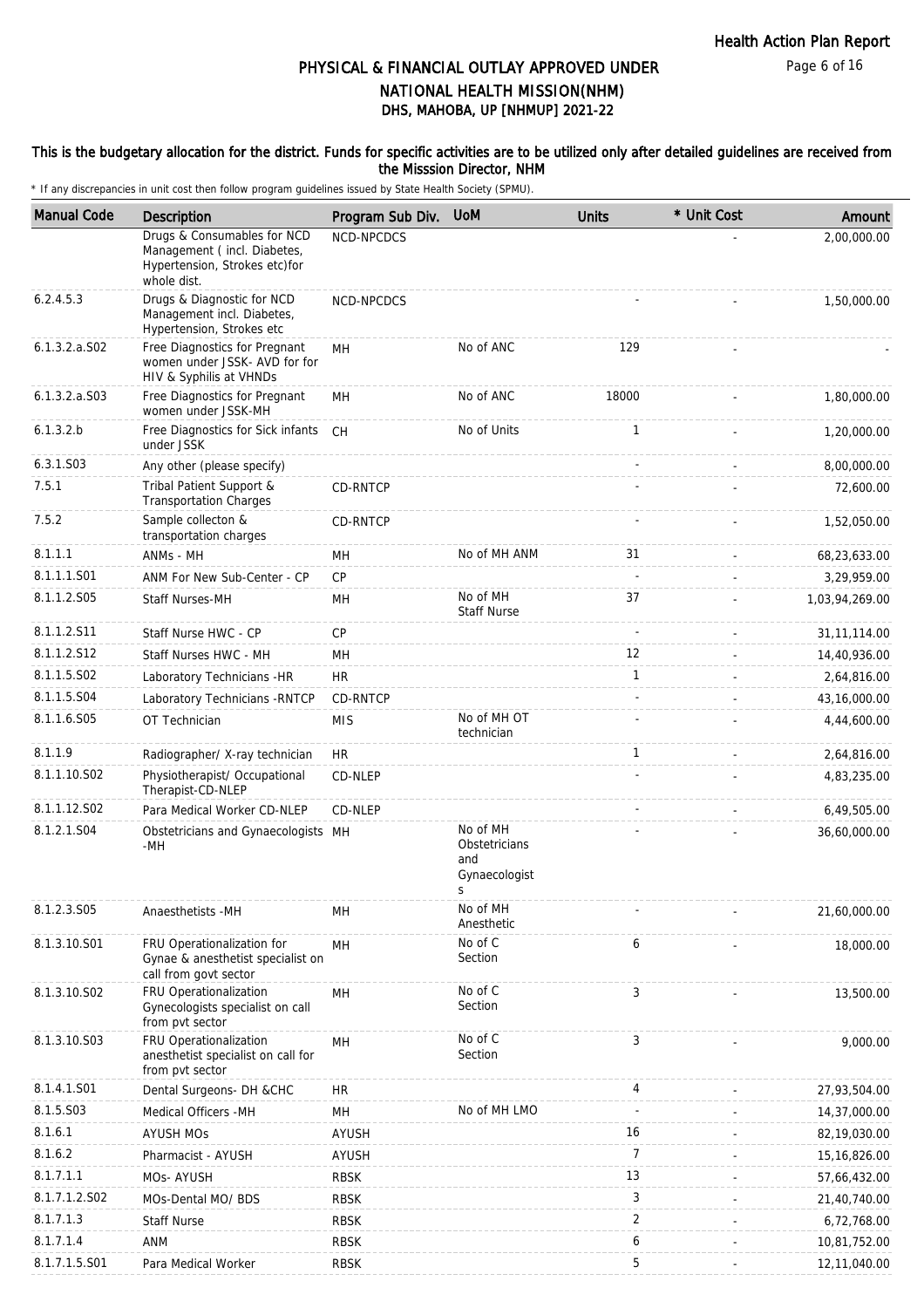#### This is the budgetary allocation for the district. Funds for specific activities are to be utilized only after detailed guidelines are received from the Misssion Director, NHM

| <b>Manual Code</b> | <b>Description</b>                                                                                         | Program Sub Div. | <b>UoM</b>                                        | <b>Units</b>   | * Unit Cost | Amount         |
|--------------------|------------------------------------------------------------------------------------------------------------|------------------|---------------------------------------------------|----------------|-------------|----------------|
|                    | Drugs & Consumables for NCD<br>Management (incl. Diabetes,<br>Hypertension, Strokes etc)for<br>whole dist. | NCD-NPCDCS       |                                                   |                |             | 2,00,000.00    |
| 6.2.4.5.3          | Drugs & Diagnostic for NCD<br>Management incl. Diabetes,<br>Hypertension, Strokes etc                      | NCD-NPCDCS       |                                                   |                |             | 1,50,000.00    |
| $6.1.3.2.a.$ SO2   | Free Diagnostics for Pregnant<br>women under JSSK- AVD for for<br>HIV & Syphilis at VHNDs                  | MH               | No of ANC                                         | 129            |             |                |
| $6.1.3.2.a.$ SO3   | Free Diagnostics for Pregnant<br>women under JSSK-MH                                                       | MН               | No of ANC                                         | 18000          |             | 1,80,000.00    |
| 6.1.3.2.b          | Free Diagnostics for Sick infants<br>under JSSK                                                            | CH               | No of Units                                       | 1              |             | 1,20,000.00    |
| 6.3.1.S03          | Any other (please specify)                                                                                 |                  |                                                   |                |             | 8,00,000.00    |
| 7.5.1              | Tribal Patient Support &<br><b>Transportation Charges</b>                                                  | CD-RNTCP         |                                                   |                |             | 72,600.00      |
| 7.5.2              | Sample collecton &<br>transportation charges                                                               | CD-RNTCP         |                                                   |                |             | 1,52,050.00    |
| 8.1.1.1            | ANMs - MH                                                                                                  | MН               | No of MH ANM                                      | 31             |             | 68,23,633.00   |
| 8.1.1.1.S01        | ANM For New Sub-Center - CP                                                                                | CP               |                                                   | $\sim$         |             | 3,29,959.00    |
| 8.1.1.2.S05        | Staff Nurses-MH                                                                                            | MH               | No of MH<br><b>Staff Nurse</b>                    | 37             |             | 1,03,94,269.00 |
| 8.1.1.2.S11        | Staff Nurse HWC - CP                                                                                       | CP               |                                                   |                |             | 31, 11, 114.00 |
| 8.1.1.2.S12        | Staff Nurses HWC - MH                                                                                      | MН               |                                                   | 12             |             | 14,40,936.00   |
| 8.1.1.5.S02        | Laboratory Technicians -HR                                                                                 | <b>HR</b>        |                                                   | $\mathbf{1}$   |             | 2,64,816.00    |
| 8.1.1.5.S04        | Laboratory Technicians - RNTCP                                                                             | CD-RNTCP         |                                                   |                |             | 43, 16, 000.00 |
| 8.1.1.6.S05        | OT Technician                                                                                              | <b>MIS</b>       | No of MH OT<br>technician                         |                |             | 4,44,600.00    |
| 8.1.1.9            | Radiographer/ X-ray technician                                                                             | <b>HR</b>        |                                                   | $\mathbf{1}$   |             | 2,64,816.00    |
| 8.1.1.10.S02       | Physiotherapist/ Occupational<br>Therapist-CD-NLEP                                                         | CD-NLEP          |                                                   |                |             | 4,83,235.00    |
| 8.1.1.12.S02       | Para Medical Worker CD-NLEP                                                                                | CD-NLEP          |                                                   |                |             | 6,49,505.00    |
| 8.1.2.1.S04        | Obstetricians and Gynaecologists MH<br>-MH                                                                 |                  | No of MH<br>Obstetricians<br>and<br>Gynaecologist |                |             | 36,60,000.00   |
| 8.1.2.3.S05        | Anaesthetists -MH                                                                                          | MH               | No of MH<br>Anesthetic                            |                |             | 21,60,000.00   |
| 8.1.3.10.S01       | FRU Operationalization for<br>Gynae & anesthetist specialist on<br>call from govt sector                   | MH               | No of C<br>Section                                | 6              |             | 18,000.00      |
| 8.1.3.10.S02       | FRU Operationalization<br>Gynecologists specialist on call<br>from pvt sector                              | MH               | No of C<br>Section                                | 3              |             | 13,500.00      |
| 8.1.3.10.S03       | FRU Operationalization<br>anesthetist specialist on call for<br>from pvt sector                            | MH               | No of C<br>Section                                | 3              |             | 9,000.00       |
| 8.1.4.1.S01        | Dental Surgeons- DH &CHC                                                                                   | HR               |                                                   | 4              |             | 27,93,504.00   |
| 8.1.5.S03          | Medical Officers -MH                                                                                       | MH               | No of MH LMO                                      |                |             | 14,37,000.00   |
| 8.1.6.1            | <b>AYUSH MOS</b>                                                                                           | <b>AYUSH</b>     |                                                   | 16             |             | 82,19,030.00   |
| 8.1.6.2            | Pharmacist - AYUSH                                                                                         | <b>AYUSH</b>     |                                                   | 7              |             | 15, 16, 826.00 |
| 8.1.7.1.1          | MOs- AYUSH                                                                                                 | <b>RBSK</b>      |                                                   | 13             |             | 57,66,432.00   |
| 8.1.7.1.2.S02      | MOs-Dental MO/ BDS                                                                                         | <b>RBSK</b>      |                                                   | 3              |             | 21,40,740.00   |
| 8.1.7.1.3          | <b>Staff Nurse</b>                                                                                         | <b>RBSK</b>      |                                                   | $\overline{2}$ |             | 6,72,768.00    |
| 8.1.7.1.4          | ANM                                                                                                        | <b>RBSK</b>      |                                                   | 6              |             | 10,81,752.00   |
| 8.1.7.1.5.S01      | Para Medical Worker                                                                                        | <b>RBSK</b>      |                                                   | 5              |             | 12,11,040.00   |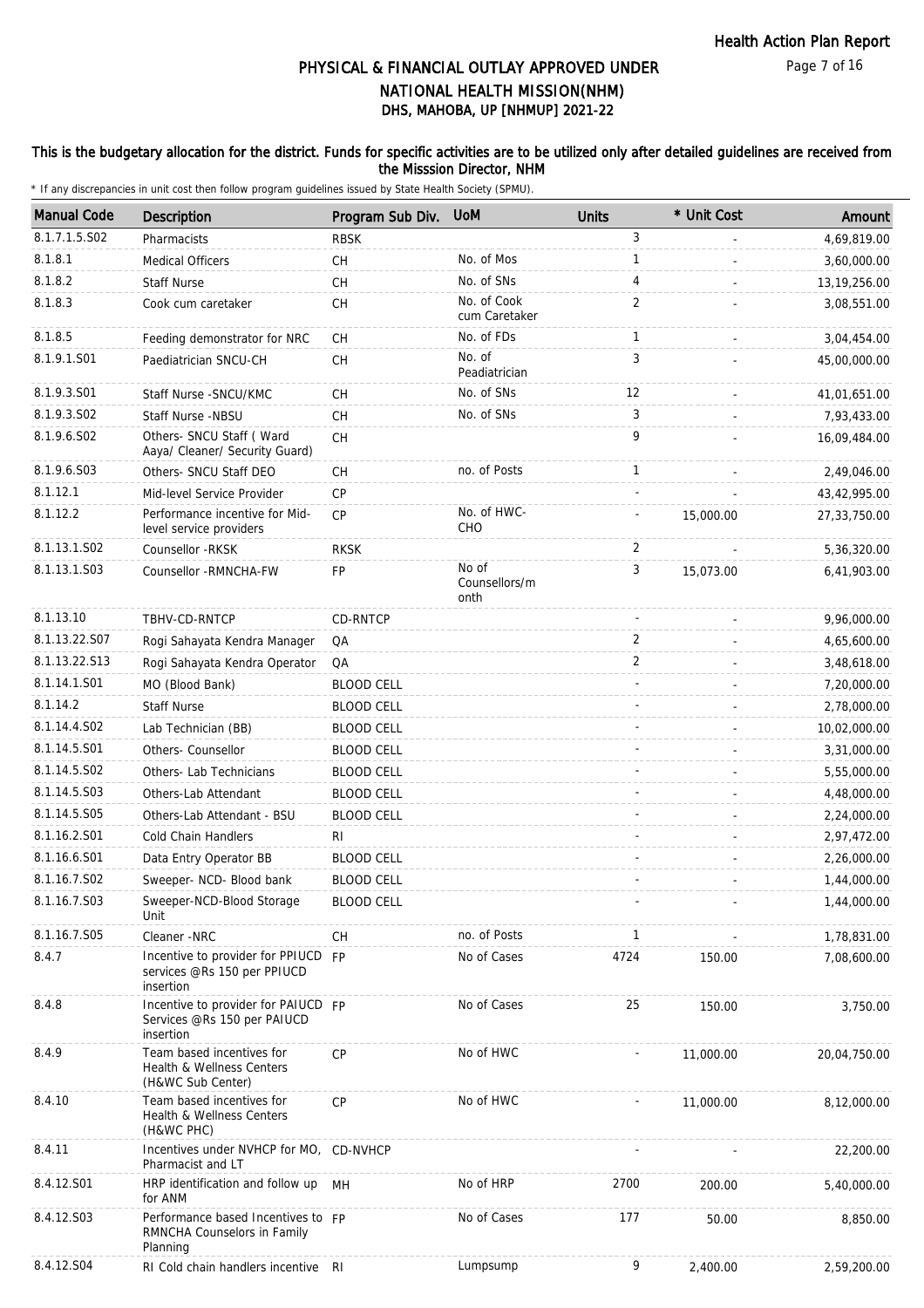### This is the budgetary allocation for the district. Funds for specific activities are to be utilized only after detailed guidelines are received from the Misssion Director, NHM

| <b>Manual Code</b> | Description                                                                     | Program Sub Div.  | <b>UoM</b>                     | <b>Units</b>   | * Unit Cost | Amount       |
|--------------------|---------------------------------------------------------------------------------|-------------------|--------------------------------|----------------|-------------|--------------|
| 8.1.7.1.5.S02      | Pharmacists                                                                     | <b>RBSK</b>       |                                | 3              |             | 4,69,819.00  |
| 8.1.8.1            | <b>Medical Officers</b>                                                         | CН                | No. of Mos                     | 1              |             | 3,60,000.00  |
| 8.1.8.2            | <b>Staff Nurse</b>                                                              | CH                | No. of SNs                     | 4              |             | 13,19,256.00 |
| 8.1.8.3            | Cook cum caretaker                                                              | CH                | No. of Cook<br>cum Caretaker   | $\overline{2}$ |             | 3,08,551.00  |
| 8.1.8.5            | Feeding demonstrator for NRC                                                    | CH                | No. of FDs                     | $\mathbf{1}$   |             | 3,04,454.00  |
| 8.1.9.1.S01        | Paediatrician SNCU-CH                                                           | CH                | No. of<br>Peadiatrician        | 3              |             | 45,00,000.00 |
| 8.1.9.3.S01        | Staff Nurse - SNCU/KMC                                                          | CH                | No. of SNs                     | 12             |             | 41,01,651.00 |
| 8.1.9.3.SO2        | Staff Nurse -NBSU                                                               | CH                | No. of SNs                     | 3              |             | 7,93,433.00  |
| 8.1.9.6.SO2        | Others- SNCU Staff (Ward<br>Aaya/ Cleaner/ Security Guard)                      | <b>CH</b>         |                                | 9              |             | 16,09,484.00 |
| 8.1.9.6.S03        | Others- SNCU Staff DEO                                                          | CH                | no. of Posts                   | $\mathbf{1}$   |             | 2,49,046.00  |
| 8.1.12.1           | Mid-level Service Provider                                                      | <b>CP</b>         |                                | ÷,             |             | 43,42,995.00 |
| 8.1.12.2           | Performance incentive for Mid-<br>level service providers                       | <b>CP</b>         | No. of HWC-<br>CHO             |                | 15,000.00   | 27,33,750.00 |
| 8.1.13.1.S02       | Counsellor - RKSK                                                               | <b>RKSK</b>       |                                | 2              |             | 5,36,320.00  |
| 8.1.13.1.S03       | Counsellor -RMNCHA-FW                                                           | FP                | No of<br>Counsellors/m<br>onth | 3              | 15,073.00   | 6,41,903.00  |
| 8.1.13.10          | TBHV-CD-RNTCP                                                                   | CD-RNTCP          |                                |                |             | 9,96,000.00  |
| 8.1.13.22.S07      | Rogi Sahayata Kendra Manager                                                    | QA                |                                | 2              |             | 4,65,600.00  |
| 8.1.13.22.S13      | Rogi Sahayata Kendra Operator                                                   | QA                |                                | 2              |             | 3,48,618.00  |
| 8.1.14.1.S01       | MO (Blood Bank)                                                                 | <b>BLOOD CELL</b> |                                |                |             | 7,20,000.00  |
| 8.1.14.2           | <b>Staff Nurse</b>                                                              | <b>BLOOD CELL</b> |                                |                |             | 2,78,000.00  |
| 8.1.14.4.S02       | Lab Technician (BB)                                                             | <b>BLOOD CELL</b> |                                |                |             | 10,02,000.00 |
| 8.1.14.5.S01       | Others- Counsellor                                                              | <b>BLOOD CELL</b> |                                |                |             | 3,31,000.00  |
| 8.1.14.5.S02       | Others- Lab Technicians                                                         | <b>BLOOD CELL</b> |                                |                |             | 5,55,000.00  |
| 8.1.14.5.S03       | Others-Lab Attendant                                                            | <b>BLOOD CELL</b> |                                |                |             | 4,48,000.00  |
| 8.1.14.5.S05       | Others-Lab Attendant - BSU                                                      | <b>BLOOD CELL</b> |                                |                |             | 2,24,000.00  |
| 8.1.16.2.S01       | Cold Chain Handlers                                                             | RI                |                                |                |             | 2,97,472.00  |
| 8.1.16.6.S01       | Data Entry Operator BB                                                          | <b>BLOOD CELL</b> |                                |                |             | 2,26,000.00  |
| 8.1.16.7.S02       | Sweeper- NCD- Blood bank                                                        | <b>BLOOD CELL</b> |                                |                |             | 1,44,000.00  |
| 8.1.16.7.S03       | Sweeper-NCD-Blood Storage<br>Unit                                               | <b>BLOOD CELL</b> |                                |                |             | 1,44,000.00  |
| 8.1.16.7.S05       | Cleaner -NRC                                                                    | <b>CH</b>         | no. of Posts                   | $\mathbf{1}$   |             | 1,78,831.00  |
| 8.4.7              | Incentive to provider for PPIUCD FP<br>services @Rs 150 per PPIUCD<br>insertion |                   | No of Cases                    | 4724           | 150.00      | 7,08,600.00  |
| 8.4.8              | Incentive to provider for PAIUCD FP<br>Services @Rs 150 per PAIUCD<br>insertion |                   | No of Cases                    | 25             | 150.00      | 3,750.00     |
| 8.4.9              | Team based incentives for<br>Health & Wellness Centers<br>(H&WC Sub Center)     | CP                | No of HWC                      |                | 11,000.00   | 20,04,750.00 |
| 8.4.10             | Team based incentives for<br>Health & Wellness Centers<br>(H&WC PHC)            | <b>CP</b>         | No of HWC                      |                | 11,000.00   | 8,12,000.00  |
| 8.4.11             | Incentives under NVHCP for MO, CD-NVHCP<br>Pharmacist and LT                    |                   |                                |                |             | 22,200.00    |
| 8.4.12.S01         | HRP identification and follow up MH<br>for ANM                                  |                   | No of HRP                      | 2700           | 200.00      | 5,40,000.00  |
| 8.4.12.S03         | Performance based Incentives to FP<br>RMNCHA Counselors in Family<br>Planning   |                   | No of Cases                    | 177            | 50.00       | 8,850.00     |
| 8.4.12.S04         | RI Cold chain handlers incentive RI                                             |                   | Lumpsump                       | 9              | 2,400.00    | 2,59,200.00  |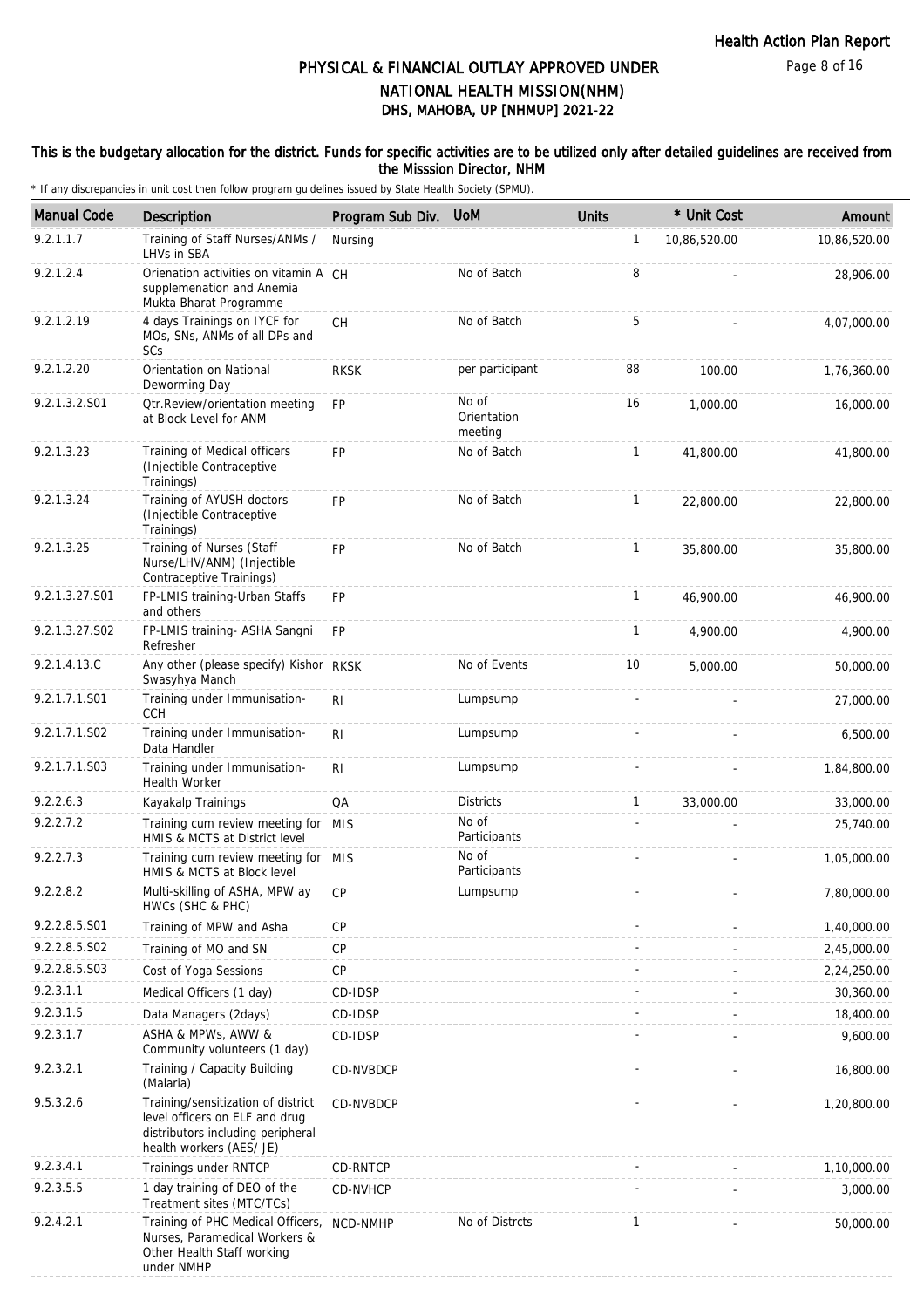#### This is the budgetary allocation for the district. Funds for specific activities are to be utilized only after detailed guidelines are received from the Misssion Director, NHM

| <b>Manual Code</b> | <b>Description</b>                                                                                                                    | Program Sub Div. | <b>UoM</b>                      | <b>Units</b> | * Unit Cost  | Amount       |
|--------------------|---------------------------------------------------------------------------------------------------------------------------------------|------------------|---------------------------------|--------------|--------------|--------------|
| 9.2.1.1.7          | Training of Staff Nurses/ANMs /<br>LHVs in SBA                                                                                        | Nursing          |                                 | $\mathbf{1}$ | 10,86,520.00 | 10,86,520.00 |
| 9.2.1.2.4          | Orienation activities on vitamin A CH<br>supplemenation and Anemia<br>Mukta Bharat Programme                                          |                  | No of Batch                     | 8            |              | 28,906.00    |
| 9.2.1.2.19         | 4 days Trainings on IYCF for<br>MOs, SNs, ANMs of all DPs and<br>SCs                                                                  | <b>CH</b>        | No of Batch                     | 5            |              | 4,07,000.00  |
| 9.2.1.2.20         | Orientation on National<br>Deworming Day                                                                                              | <b>RKSK</b>      | per participant                 | 88           | 100.00       | 1,76,360.00  |
| 9.2.1.3.2.S01      | Otr.Review/orientation meeting<br>at Block Level for ANM                                                                              | <b>FP</b>        | No of<br>Orientation<br>meeting | 16           | 1,000.00     | 16,000.00    |
| 9.2.1.3.23         | Training of Medical officers<br>(Injectible Contraceptive<br>Trainings)                                                               | <b>FP</b>        | No of Batch                     | $\mathbf{1}$ | 41,800.00    | 41,800.00    |
| 9.2.1.3.24         | Training of AYUSH doctors<br>(Injectible Contraceptive<br>Trainings)                                                                  | <b>FP</b>        | No of Batch                     | $\mathbf{1}$ | 22,800.00    | 22,800.00    |
| 9.2.1.3.25         | Training of Nurses (Staff<br>Nurse/LHV/ANM) (Injectible<br>Contraceptive Trainings)                                                   | <b>FP</b>        | No of Batch                     | $\mathbf{1}$ | 35,800.00    | 35,800.00    |
| 9.2.1.3.27.S01     | FP-LMIS training-Urban Staffs<br>and others                                                                                           | FP               |                                 | $\mathbf{1}$ | 46,900.00    | 46,900.00    |
| 9.2.1.3.27.S02     | FP-LMIS training- ASHA Sangni<br>Refresher                                                                                            | <b>FP</b>        |                                 | $\mathbf{1}$ | 4.900.00     | 4,900.00     |
| 9.2.1.4.13.C       | Any other (please specify) Kishor RKSK<br>Swasyhya Manch                                                                              |                  | No of Events                    | 10           | 5,000.00     | 50,000.00    |
| 9.2.1.7.1.S01      | Training under Immunisation-<br><b>CCH</b>                                                                                            | RI               | Lumpsump                        |              |              | 27,000.00    |
| 9.2.1.7.1.S02      | Training under Immunisation-<br>Data Handler                                                                                          | R <sub>1</sub>   | Lumpsump                        |              |              | 6,500.00     |
| 9.2.1.7.1.S03      | Training under Immunisation-<br><b>Health Worker</b>                                                                                  | R <sub>1</sub>   | Lumpsump                        |              |              | 1,84,800.00  |
| 9.2.2.6.3          | Kayakalp Trainings                                                                                                                    | QA               | <b>Districts</b>                | $\mathbf{1}$ | 33,000.00    | 33,000.00    |
| 9.2.2.7.2          | Training cum review meeting for MIS<br>HMIS & MCTS at District level                                                                  |                  | No of<br>Participants           |              |              | 25,740.00    |
| 9.2.2.7.3          | Training cum review meeting for MIS<br>HMIS & MCTS at Block level                                                                     |                  | No of<br>Participants           |              |              | 1,05,000.00  |
| 9.2.2.8.2          | Multi-skilling of ASHA, MPW ay CP<br>HWCs (SHC & PHC)                                                                                 |                  | Lumpsump                        |              |              | 7,80,000.00  |
| 9.2.2.8.5.S01      | Training of MPW and Asha                                                                                                              | <b>CP</b>        |                                 |              |              | 1,40,000.00  |
| 9.2.2.8.5.S02      | Training of MO and SN                                                                                                                 | CP               |                                 |              |              | 2,45,000.00  |
| 9.2.2.8.5.S03      | Cost of Yoga Sessions                                                                                                                 | CP               |                                 |              |              | 2,24,250.00  |
| 9.2.3.1.1          | Medical Officers (1 day)                                                                                                              | CD-IDSP          |                                 |              |              | 30,360.00    |
| 9.2.3.1.5          | Data Managers (2days)                                                                                                                 | CD-IDSP          |                                 |              |              | 18,400.00    |
| 9.2.3.1.7          | ASHA & MPWs, AWW &<br>Community volunteers (1 day)                                                                                    | CD-IDSP          |                                 |              |              | 9,600.00     |
| 9.2.3.2.1          | Training / Capacity Building<br>(Malaria)                                                                                             | CD-NVBDCP        |                                 |              |              | 16,800.00    |
| 9.5.3.2.6          | Training/sensitization of district<br>level officers on ELF and drug<br>distributors including peripheral<br>health workers (AES/ JE) | CD-NVBDCP        |                                 |              |              | 1,20,800.00  |
| 9.2.3.4.1          | Trainings under RNTCP                                                                                                                 | CD-RNTCP         |                                 |              |              | 1,10,000.00  |
| 9.2.3.5.5          | 1 day training of DEO of the<br>Treatment sites (MTC/TCs)                                                                             | CD-NVHCP         |                                 |              |              | 3,000.00     |
| 9.2.4.2.1          | Training of PHC Medical Officers,<br>Nurses, Paramedical Workers &<br>Other Health Staff working<br>under NMHP                        | NCD-NMHP         | No of Distrcts                  | $\mathbf{1}$ |              | 50,000.00    |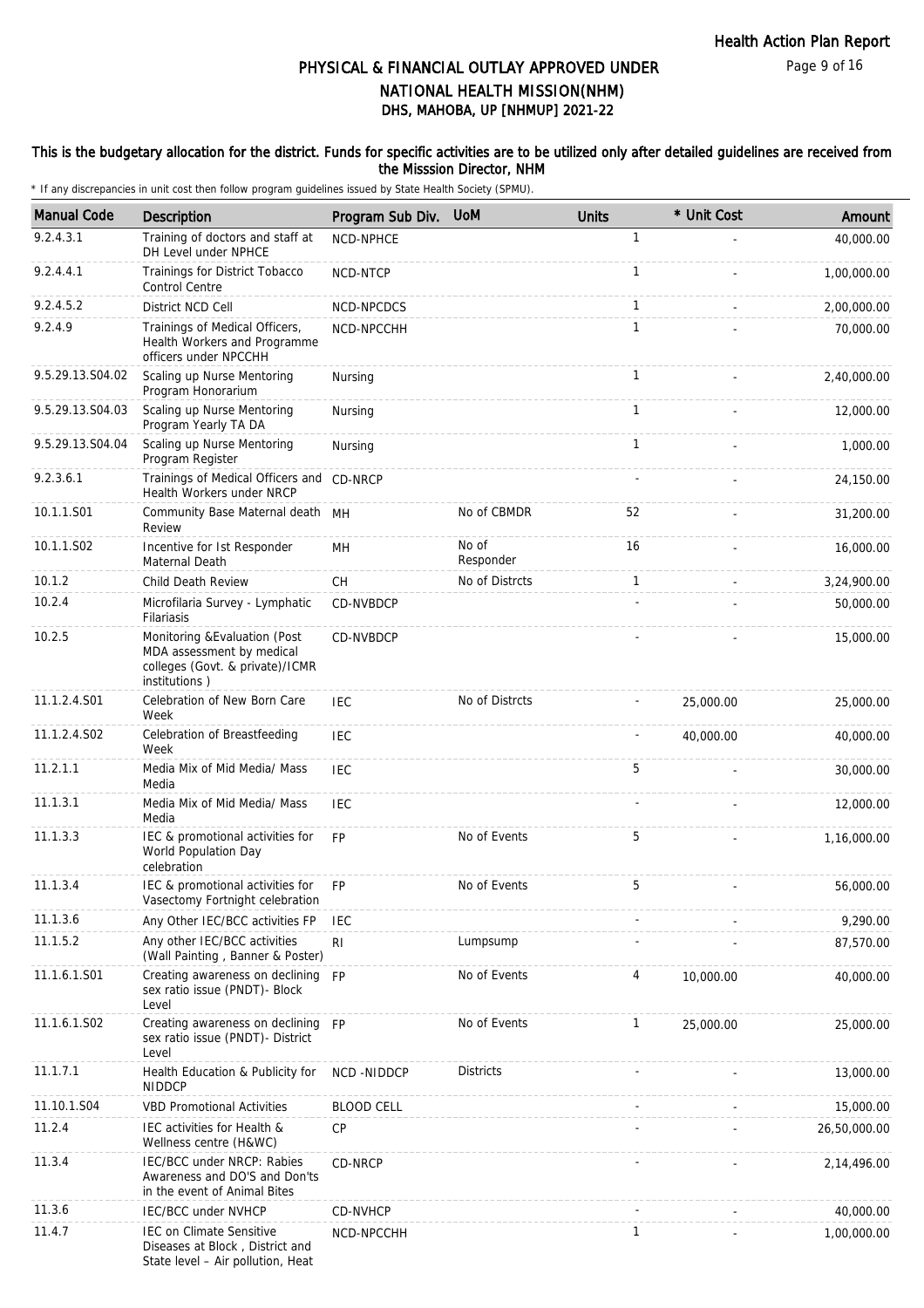#### This is the budgetary allocation for the district. Funds for specific activities are to be utilized only after detailed guidelines are received from the Misssion Director, NHM

| <b>Manual Code</b> | Description                                                                                                    | Program Sub Div.  | <b>UoM</b>         | <b>Units</b> | * Unit Cost | Amount       |
|--------------------|----------------------------------------------------------------------------------------------------------------|-------------------|--------------------|--------------|-------------|--------------|
| 9.2.4.3.1          | Training of doctors and staff at<br>DH Level under NPHCE                                                       | <b>NCD-NPHCE</b>  |                    | $\mathbf{1}$ |             | 40,000.00    |
| 9.2.4.4.1          | Trainings for District Tobacco<br>Control Centre                                                               | NCD-NTCP          |                    | $\mathbf{1}$ |             | 1,00,000.00  |
| 9.2.4.5.2          | District NCD Cell                                                                                              | NCD-NPCDCS        |                    | 1            |             | 2,00,000.00  |
| 9.2.4.9            | Trainings of Medical Officers,<br>Health Workers and Programme<br>officers under NPCCHH                        | NCD-NPCCHH        |                    | $\mathbf{1}$ |             | 70,000.00    |
| 9.5.29.13.S04.02   | Scaling up Nurse Mentoring<br>Program Honorarium                                                               | Nursing           |                    | 1            |             | 2,40,000.00  |
| 9.5.29.13.S04.03   | Scaling up Nurse Mentoring<br>Program Yearly TA DA                                                             | Nursing           |                    | 1            |             | 12,000.00    |
| 9.5.29.13.S04.04   | Scaling up Nurse Mentoring<br>Program Register                                                                 | Nursing           |                    | $\mathbf{1}$ |             | 1,000.00     |
| 9.2.3.6.1          | Trainings of Medical Officers and CD-NRCP<br>Health Workers under NRCP                                         |                   |                    |              |             | 24,150.00    |
| 10.1.1.S01         | Community Base Maternal death MH<br>Review                                                                     |                   | No of CBMDR        | 52           |             | 31,200.00    |
| 10.1.1.S02         | Incentive for Ist Responder<br>Maternal Death                                                                  | MН                | No of<br>Responder | 16           |             | 16,000.00    |
| 10.1.2             | Child Death Review                                                                                             | CH                | No of Distrcts     | 1            |             | 3,24,900.00  |
| 10.2.4             | Microfilaria Survey - Lymphatic<br>Filariasis                                                                  | CD-NVBDCP         |                    |              |             | 50,000.00    |
| 10.2.5             | Monitoring & Evaluation (Post<br>MDA assessment by medical<br>colleges (Govt. & private)/ICMR<br>institutions) | CD-NVBDCP         |                    |              |             | 15,000.00    |
| 11.1.2.4.S01       | Celebration of New Born Care<br>Week                                                                           | <b>IEC</b>        | No of Distrcts     |              | 25,000.00   | 25,000.00    |
| 11.1.2.4.S02       | Celebration of Breastfeeding<br>Week                                                                           | <b>IEC</b>        |                    |              | 40,000.00   | 40,000.00    |
| 11.2.1.1           | Media Mix of Mid Media/ Mass<br>Media                                                                          | IEC               |                    | 5            |             | 30,000.00    |
| 11.1.3.1           | Media Mix of Mid Media/ Mass<br>Media                                                                          | IEC               |                    |              |             | 12,000.00    |
| 11.1.3.3           | IEC & promotional activities for<br>World Population Day<br>celebration                                        | <b>FP</b>         | No of Events       | 5            |             | 1,16,000.00  |
| 11.1.3.4           | IEC & promotional activities for<br>Vasectomy Fortnight celebration                                            | FP                | No of Events       | 5            |             | 56,000.00    |
| 11.1.3.6           | Any Other IEC/BCC activities FP                                                                                | IEC               |                    |              |             | 9,290.00     |
| 11.1.5.2           | Any other IEC/BCC activities<br>(Wall Painting, Banner & Poster)                                               | R <sub>1</sub>    | Lumpsump           |              |             | 87,570.00    |
| 11.1.6.1.S01       | Creating awareness on declining FP<br>sex ratio issue (PNDT)- Block<br>Level                                   |                   | No of Events       | 4            | 10,000.00   | 40,000.00    |
| 11.1.6.1.S02       | Creating awareness on declining FP<br>sex ratio issue (PNDT)- District<br>Level                                |                   | No of Events       | $\mathbf{1}$ | 25,000.00   | 25,000.00    |
| 11.1.7.1           | Health Education & Publicity for<br><b>NIDDCP</b>                                                              | NCD-NIDDCP        | <b>Districts</b>   |              |             | 13,000.00    |
| 11.10.1.S04        | <b>VBD Promotional Activities</b>                                                                              | <b>BLOOD CELL</b> |                    |              |             | 15,000.00    |
| 11.2.4             | IEC activities for Health &<br>Wellness centre (H&WC)                                                          | <b>CP</b>         |                    |              |             | 26,50,000.00 |
| 11.3.4             | IEC/BCC under NRCP: Rabies<br>Awareness and DO'S and Don'ts<br>in the event of Animal Bites                    | CD-NRCP           |                    |              |             | 2,14,496.00  |
| 11.3.6             | IEC/BCC under NVHCP                                                                                            | CD-NVHCP          |                    |              |             | 40,000.00    |
| 11.4.7             | <b>IEC on Climate Sensitive</b><br>Diseases at Block, District and<br>State level - Air pollution, Heat        | NCD-NPCCHH        |                    | 1            |             | 1,00,000.00  |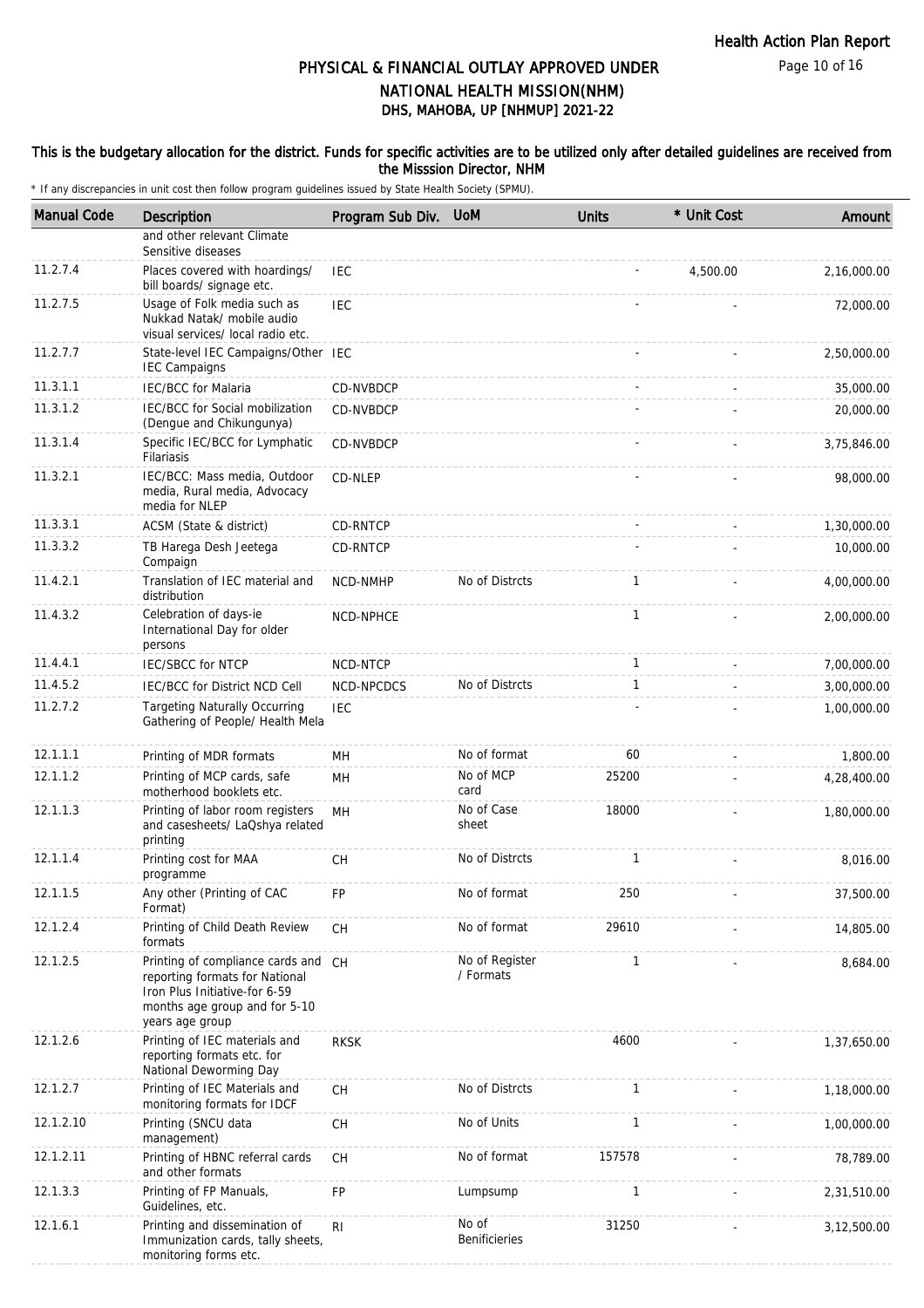#### This is the budgetary allocation for the district. Funds for specific activities are to be utilized only after detailed guidelines are received from the Misssion Director, NHM

| <b>Manual Code</b> | Description                                                                                                                                                | Program Sub Div. UoM |                             | <b>Units</b> | * Unit Cost | Amount      |
|--------------------|------------------------------------------------------------------------------------------------------------------------------------------------------------|----------------------|-----------------------------|--------------|-------------|-------------|
|                    | and other relevant Climate<br>Sensitive diseases                                                                                                           |                      |                             |              |             |             |
| 11.2.7.4           | Places covered with hoardings/<br>bill boards/ signage etc.                                                                                                | <b>IEC</b>           |                             |              | 4,500.00    | 2,16,000.00 |
| 11.2.7.5           | Usage of Folk media such as<br>Nukkad Natak/ mobile audio<br>visual services/ local radio etc.                                                             | <b>IEC</b>           |                             |              |             | 72,000.00   |
| 11.2.7.7           | State-level IEC Campaigns/Other IEC<br><b>IEC Campaigns</b>                                                                                                |                      |                             |              |             | 2,50,000.00 |
| 11.3.1.1           | <b>IEC/BCC</b> for Malaria                                                                                                                                 | CD-NVBDCP            |                             |              |             | 35,000.00   |
| 11.3.1.2           | IEC/BCC for Social mobilization<br>(Dengue and Chikungunya)                                                                                                | CD-NVBDCP            |                             |              |             | 20,000.00   |
| 11.3.1.4           | Specific IEC/BCC for Lymphatic<br>Filariasis                                                                                                               | CD-NVBDCP            |                             |              |             | 3,75,846.00 |
| 11.3.2.1           | IEC/BCC: Mass media, Outdoor<br>media, Rural media, Advocacy<br>media for NLEP                                                                             | CD-NLEP              |                             |              |             | 98,000.00   |
| 11.3.3.1           | ACSM (State & district)                                                                                                                                    | CD-RNTCP             |                             |              |             | 1,30,000.00 |
| 11.3.3.2           | TB Harega Desh Jeetega<br>Compaign                                                                                                                         | CD-RNTCP             |                             |              |             | 10,000.00   |
| 11.4.2.1           | Translation of IEC material and<br>distribution                                                                                                            | <b>NCD-NMHP</b>      | No of Distrcts              | $\mathbf{1}$ |             | 4,00,000.00 |
| 11.4.3.2           | Celebration of days-ie<br>International Day for older<br>persons                                                                                           | NCD-NPHCE            |                             | $\mathbf{1}$ |             | 2,00,000.00 |
| 11.4.4.1           | <b>IEC/SBCC for NTCP</b>                                                                                                                                   | NCD-NTCP             |                             | 1            |             | 7,00,000.00 |
| 11.4.5.2           | IEC/BCC for District NCD Cell                                                                                                                              | NCD-NPCDCS           | No of Distrcts              | $\mathbf{1}$ |             | 3,00,000.00 |
| 11.2.7.2           | <b>Targeting Naturally Occurring</b><br>Gathering of People/ Health Mela                                                                                   | <b>IEC</b>           |                             |              |             | 1,00,000.00 |
| 12.1.1.1           | Printing of MDR formats                                                                                                                                    | MН                   | No of format                | 60           |             | 1,800.00    |
| 12.1.1.2           | Printing of MCP cards, safe<br>motherhood booklets etc.                                                                                                    | MH                   | No of MCP<br>card           | 25200        |             | 4,28,400.00 |
| 12.1.1.3           | Printing of labor room registers<br>and casesheets/ LaQshya related<br>printing                                                                            | MН                   | No of Case<br>sheet         | 18000        |             | 1,80,000.00 |
| 12.1.1.4           | Printing cost for MAA<br>programme                                                                                                                         | CH                   | No of Distrcts              | $\mathbf{1}$ |             | 8.016.00    |
| 12.1.1.5           | Any other (Printing of CAC<br>Format)                                                                                                                      | FP                   | No of format                | 250          |             | 37,500.00   |
| 12.1.2.4           | Printing of Child Death Review<br>formats                                                                                                                  | CH                   | No of format                | 29610        |             | 14,805.00   |
| 12.1.2.5           | Printing of compliance cards and CH<br>reporting formats for National<br>Iron Plus Initiative-for 6-59<br>months age group and for 5-10<br>years age group |                      | No of Register<br>/ Formats | $\mathbf{1}$ |             | 8,684.00    |
| 12.1.2.6           | Printing of IEC materials and<br>reporting formats etc. for<br>National Deworming Day                                                                      | <b>RKSK</b>          |                             | 4600         |             | 1,37,650.00 |
| 12.1.2.7           | Printing of IEC Materials and<br>monitoring formats for IDCF                                                                                               | CH                   | No of Distrcts              | $\mathbf{1}$ |             | 1,18,000.00 |
| 12.1.2.10          | Printing (SNCU data<br>management)                                                                                                                         | CH                   | No of Units                 | $\mathbf{1}$ |             | 1,00,000.00 |
| 12.1.2.11          | Printing of HBNC referral cards<br>and other formats                                                                                                       | CH                   | No of format                | 157578       |             | 78,789.00   |
| 12.1.3.3           | Printing of FP Manuals,<br>Guidelines, etc.                                                                                                                | FP                   | Lumpsump                    | $\mathbf{1}$ |             | 2,31,510.00 |
| 12.1.6.1           | Printing and dissemination of<br>Immunization cards, tally sheets,<br>monitoring forms etc.                                                                | R <sub>1</sub>       | No of<br>Benificieries      | 31250        |             | 3,12,500.00 |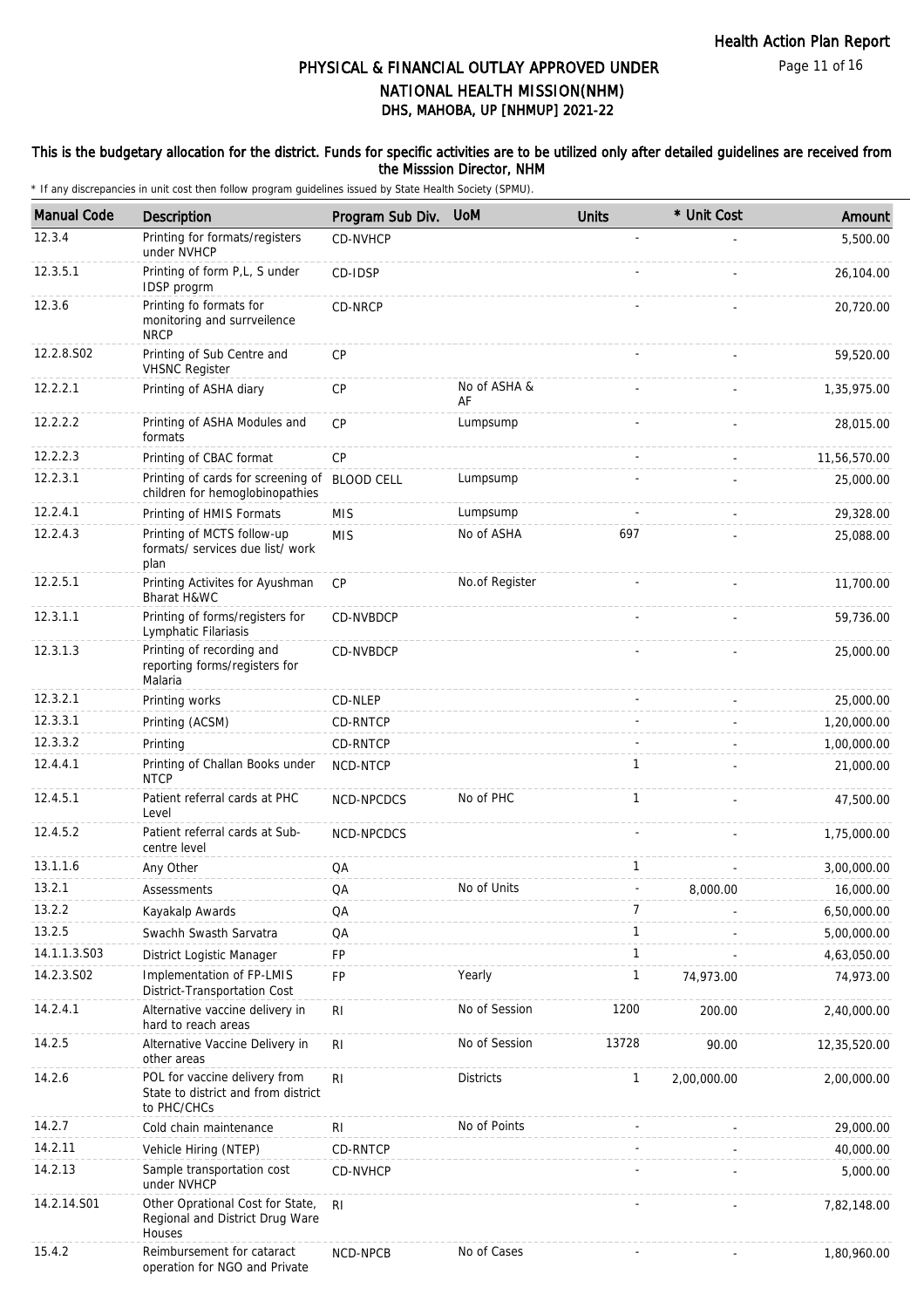#### This is the budgetary allocation for the district. Funds for specific activities are to be utilized only after detailed guidelines are received from the Misssion Director, NHM

| <b>Manual Code</b> | Description                                                                         | Program Sub Div.  | <b>UoM</b>         | <b>Units</b> | * Unit Cost | Amount       |
|--------------------|-------------------------------------------------------------------------------------|-------------------|--------------------|--------------|-------------|--------------|
| 12.3.4             | Printing for formats/registers<br>under NVHCP                                       | CD-NVHCP          |                    |              |             | 5,500.00     |
| 12.3.5.1           | Printing of form P,L, S under<br>IDSP progrm                                        | CD-IDSP           |                    |              |             | 26,104.00    |
| 12.3.6             | Printing fo formats for<br>monitoring and surrveilence<br><b>NRCP</b>               | CD-NRCP           |                    |              |             | 20,720.00    |
| 12.2.8.S02         | Printing of Sub Centre and<br><b>VHSNC Register</b>                                 | <b>CP</b>         |                    |              |             | 59,520.00    |
| 12.2.2.1           | Printing of ASHA diary                                                              | <b>CP</b>         | No of ASHA &<br>AF |              |             | 1,35,975.00  |
| 12.2.2.2           | Printing of ASHA Modules and<br>formats                                             | <b>CP</b>         | Lumpsump           |              |             | 28,015.00    |
| 12.2.2.3           | Printing of CBAC format                                                             | <b>CP</b>         |                    |              |             | 11,56,570.00 |
| 12.2.3.1           | Printing of cards for screening of<br>children for hemoglobinopathies               | <b>BLOOD CELL</b> | Lumpsump           |              |             | 25,000.00    |
| 12.2.4.1           | Printing of HMIS Formats                                                            | <b>MIS</b>        | Lumpsump           |              |             | 29,328.00    |
| 12.2.4.3           | Printing of MCTS follow-up<br>formats/ services due list/ work<br>plan              | <b>MIS</b>        | No of ASHA         | 697          |             | 25,088.00    |
| 12.2.5.1           | Printing Activites for Ayushman<br>Bharat H&WC                                      | <b>CP</b>         | No.of Register     |              |             | 11,700.00    |
| 12.3.1.1           | Printing of forms/registers for<br>Lymphatic Filariasis                             | CD-NVBDCP         |                    |              |             | 59,736.00    |
| 12.3.1.3           | Printing of recording and<br>reporting forms/registers for<br>Malaria               | CD-NVBDCP         |                    |              |             | 25,000.00    |
| 12.3.2.1           | Printing works                                                                      | CD-NLEP           |                    |              |             | 25,000.00    |
| 12.3.3.1           | Printing (ACSM)                                                                     | CD-RNTCP          |                    |              |             | 1,20,000.00  |
| 12.3.3.2           | Printing                                                                            | CD-RNTCP          |                    |              |             | 1,00,000.00  |
| 12.4.4.1           | Printing of Challan Books under<br><b>NTCP</b>                                      | NCD-NTCP          |                    | 1            |             | 21,000.00    |
| 12.4.5.1           | Patient referral cards at PHC<br>Level                                              | NCD-NPCDCS        | No of PHC          | $\mathbf{1}$ |             | 47,500.00    |
| 12.4.5.2           | Patient referral cards at Sub-<br>centre level                                      | NCD-NPCDCS        |                    |              |             | 1,75,000.00  |
| 13.1.1.6           | Any Other                                                                           | QA                |                    | $\mathbf{1}$ |             | 3,00,000.00  |
| 13.2.1             | Assessments                                                                         | QA                | No of Units        |              | 8,000.00    | 16,000.00    |
| 13.2.2             | Kayakalp Awards                                                                     | QA                |                    | 7            |             | 6,50,000.00  |
| 13.2.5             | Swachh Swasth Sarvatra                                                              | QA                |                    | $\mathbf{1}$ |             | 5,00,000.00  |
| 14.1.1.3.S03       | District Logistic Manager                                                           | FP                |                    | $\mathbf{1}$ |             | 4,63,050.00  |
| 14.2.3.S02         | Implementation of FP-LMIS<br>District-Transportation Cost                           | FP                | Yearly             | 1            | 74,973.00   | 74,973.00    |
| 14.2.4.1           | Alternative vaccine delivery in<br>hard to reach areas                              | R <sub>l</sub>    | No of Session      | 1200         | 200.00      | 2,40,000.00  |
| 14.2.5             | Alternative Vaccine Delivery in<br>other areas                                      | RI                | No of Session      | 13728        | 90.00       | 12,35,520.00 |
| 14.2.6             | POL for vaccine delivery from<br>State to district and from district<br>to PHC/CHCs | R <sub>l</sub>    | <b>Districts</b>   | $\mathbf{1}$ | 2,00,000.00 | 2,00,000.00  |
| 14.2.7             | Cold chain maintenance                                                              | <b>RI</b>         | No of Points       |              |             | 29,000.00    |
| 14.2.11            | Vehicle Hiring (NTEP)                                                               | CD-RNTCP          |                    |              |             | 40,000.00    |
| 14.2.13            | Sample transportation cost<br>under NVHCP                                           | CD-NVHCP          |                    |              |             | 5,000.00     |
| 14.2.14.S01        | Other Oprational Cost for State,<br>Regional and District Drug Ware<br>Houses       | RI                |                    |              |             | 7,82,148.00  |
| 15.4.2             | Reimbursement for cataract<br>operation for NGO and Private                         | NCD-NPCB          | No of Cases        |              |             | 1,80,960.00  |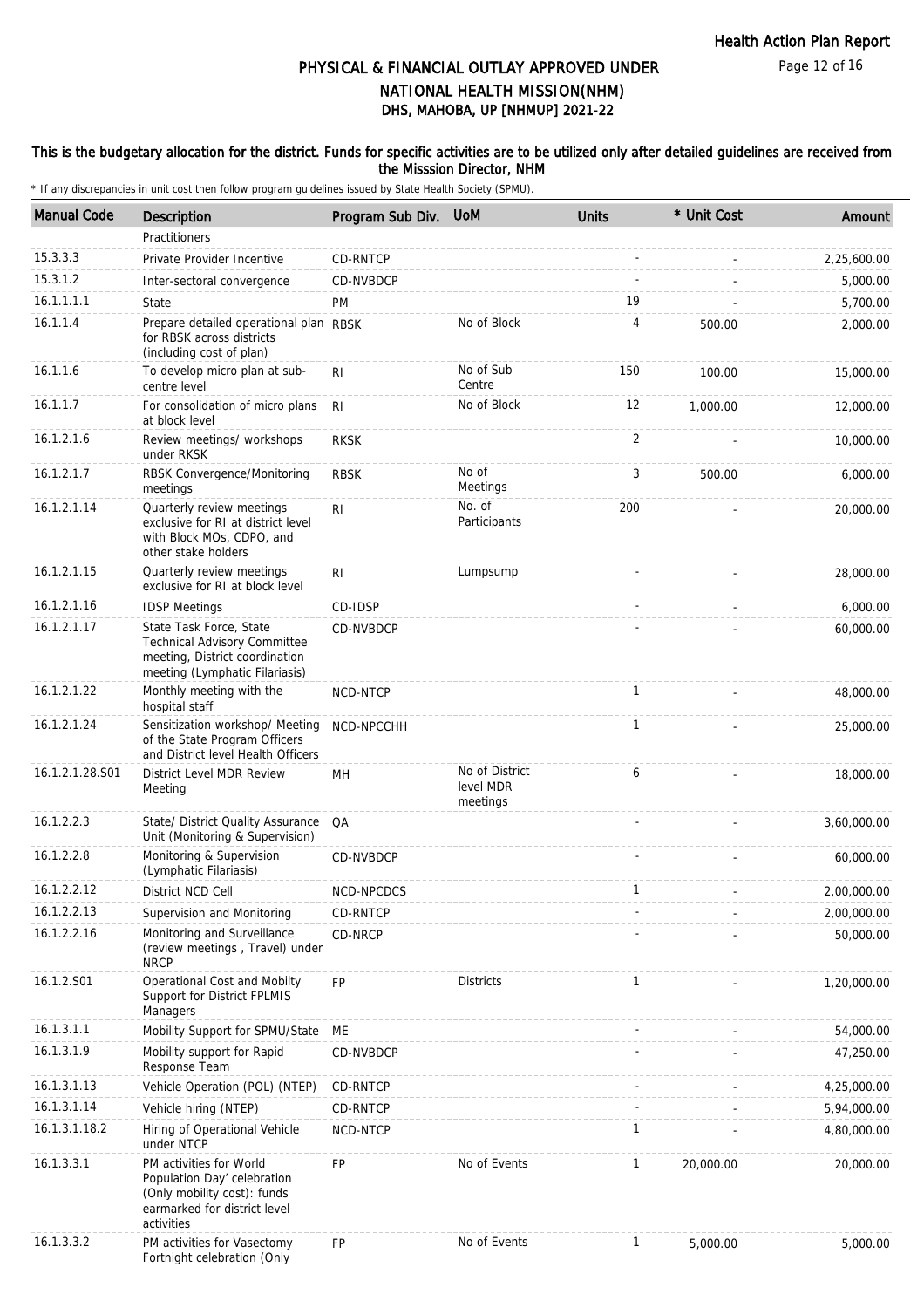#### This is the budgetary allocation for the district. Funds for specific activities are to be utilized only after detailed guidelines are received from the Misssion Director, NHM

| <b>Manual Code</b> | Description                                                                                                                         | Program Sub Div. | <b>UoM</b>                              | <b>Units</b> | * Unit Cost | Amount      |
|--------------------|-------------------------------------------------------------------------------------------------------------------------------------|------------------|-----------------------------------------|--------------|-------------|-------------|
|                    | Practitioners                                                                                                                       |                  |                                         |              |             |             |
| 15.3.3.3           | Private Provider Incentive                                                                                                          | CD-RNTCP         |                                         |              |             | 2,25,600.00 |
| 15.3.1.2           | Inter-sectoral convergence                                                                                                          | CD-NVBDCP        |                                         |              |             | 5,000.00    |
| 16.1.1.1.1         | State                                                                                                                               | <b>PM</b>        |                                         | 19           |             | 5,700.00    |
| 16.1.1.4           | Prepare detailed operational plan RBSK<br>for RBSK across districts<br>(including cost of plan)                                     |                  | No of Block                             | 4            | 500.00      | 2,000.00    |
| 16.1.1.6           | To develop micro plan at sub-<br>centre level                                                                                       | R <sub>1</sub>   | No of Sub<br>Centre                     | 150          | 100.00      | 15,000.00   |
| 16.1.1.7           | For consolidation of micro plans<br>at block level                                                                                  | R <sub>l</sub>   | No of Block                             | 12           | 1.000.00    | 12,000.00   |
| 16.1.2.1.6         | Review meetings/ workshops<br>under RKSK                                                                                            | <b>RKSK</b>      |                                         | 2            |             | 10,000.00   |
| 16.1.2.1.7         | RBSK Convergence/Monitoring<br>meetings                                                                                             | <b>RBSK</b>      | No of<br>Meetings                       | 3            | 500.00      | 6,000.00    |
| 16.1.2.1.14        | Quarterly review meetings<br>exclusive for RI at district level<br>with Block MOs, CDPO, and<br>other stake holders                 | RI               | No. of<br>Participants                  | 200          |             | 20,000.00   |
| 16.1.2.1.15        | Quarterly review meetings<br>exclusive for RI at block level                                                                        | R <sub>1</sub>   | Lumpsump                                |              |             | 28,000.00   |
| 16.1.2.1.16        | <b>IDSP Meetings</b>                                                                                                                | CD-IDSP          |                                         |              |             | 6,000.00    |
| 16.1.2.1.17        | State Task Force, State<br><b>Technical Advisory Committee</b><br>meeting, District coordination<br>meeting (Lymphatic Filariasis)  | CD-NVBDCP        |                                         |              |             | 60,000.00   |
| 16.1.2.1.22        | Monthly meeting with the<br>hospital staff                                                                                          | NCD-NTCP         |                                         | $\mathbf{1}$ |             | 48,000.00   |
| 16.1.2.1.24        | Sensitization workshop/ Meeting<br>of the State Program Officers<br>and District level Health Officers                              | NCD-NPCCHH       |                                         | 1            |             | 25,000.00   |
| 16.1.2.1.28.S01    | District Level MDR Review<br>Meeting                                                                                                | MН               | No of District<br>level MDR<br>meetings | 6            |             | 18,000.00   |
| 16.1.2.2.3         | State/ District Quality Assurance<br>Unit (Monitoring & Supervision)                                                                | QA               |                                         |              |             | 3,60,000.00 |
| 16.1.2.2.8         | Monitoring & Supervision<br>(Lymphatic Filariasis)                                                                                  | CD-NVBDCP        |                                         |              |             | 60,000.00   |
| 16.1.2.2.12        | District NCD Cell                                                                                                                   | NCD-NPCDCS       |                                         | $\mathbf{1}$ |             | 2,00,000.00 |
| 16.1.2.2.13        | Supervision and Monitoring                                                                                                          | CD-RNTCP         |                                         |              |             | 2,00,000.00 |
| 16.1.2.2.16        | Monitoring and Surveillance<br>(review meetings, Travel) under<br><b>NRCP</b>                                                       | CD-NRCP          |                                         |              |             | 50,000.00   |
| 16.1.2.S01         | Operational Cost and Mobilty<br>Support for District FPLMIS<br>Managers                                                             | <b>FP</b>        | <b>Districts</b>                        | 1            |             | 1,20,000.00 |
| 16.1.3.1.1         | Mobility Support for SPMU/State                                                                                                     | ME               |                                         |              |             | 54,000.00   |
| 16.1.3.1.9         | Mobility support for Rapid<br>Response Team                                                                                         | CD-NVBDCP        |                                         |              |             | 47,250.00   |
| 16.1.3.1.13        | Vehicle Operation (POL) (NTEP)                                                                                                      | CD-RNTCP         |                                         |              |             | 4,25,000.00 |
| 16.1.3.1.14        | Vehicle hiring (NTEP)                                                                                                               | CD-RNTCP         |                                         |              |             | 5,94,000.00 |
| 16.1.3.1.18.2      | Hiring of Operational Vehicle<br>under NTCP                                                                                         | NCD-NTCP         |                                         | $\mathbf{1}$ |             | 4,80,000.00 |
| 16.1.3.3.1         | PM activities for World<br>Population Day' celebration<br>(Only mobility cost): funds<br>earmarked for district level<br>activities | <b>FP</b>        | No of Events                            | 1            | 20,000.00   | 20,000.00   |
| 16.1.3.3.2         | PM activities for Vasectomy<br>Fortnight celebration (Only                                                                          | FP               | No of Events                            | 1            | 5,000.00    | 5,000.00    |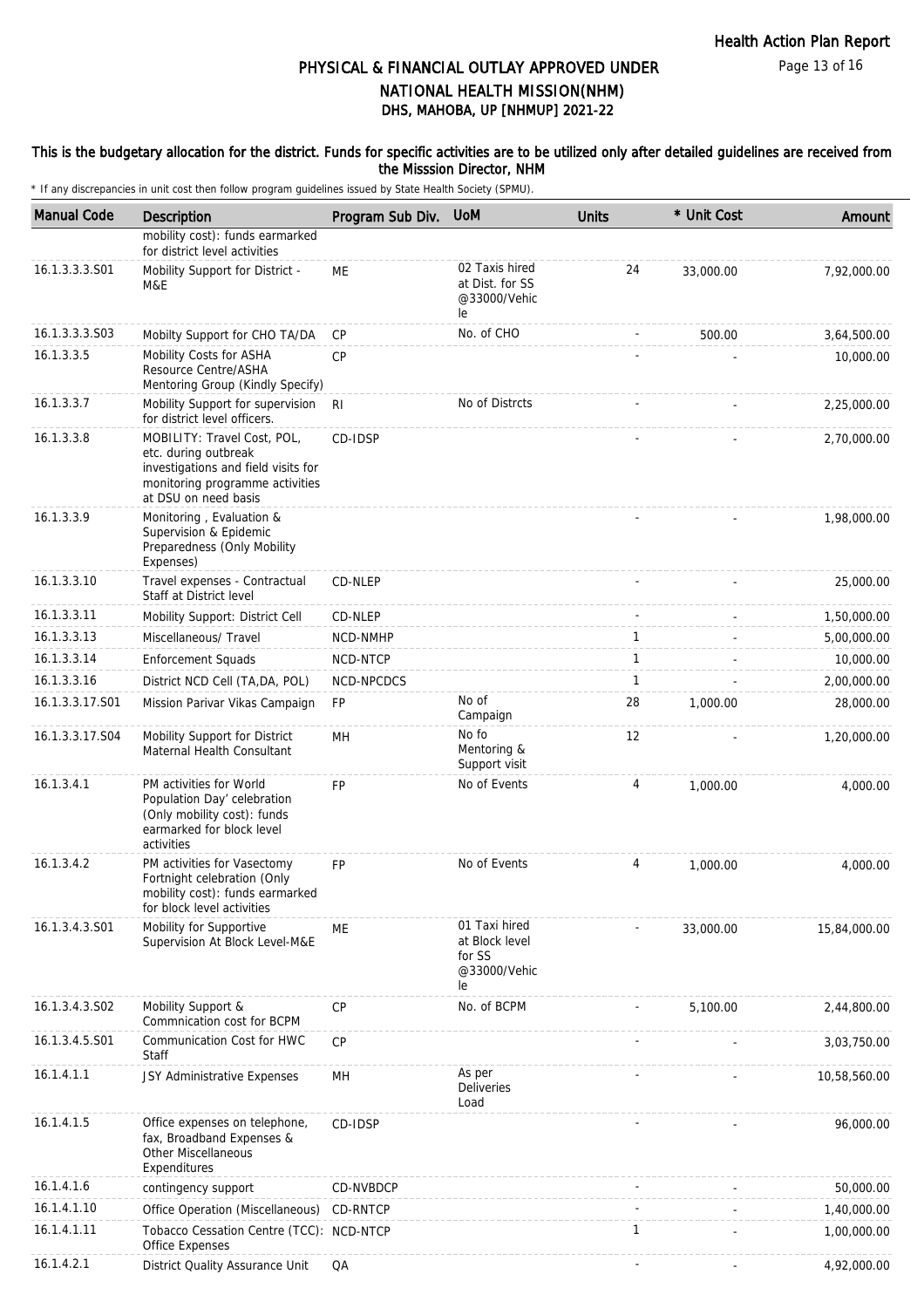#### This is the budgetary allocation for the district. Funds for specific activities are to be utilized only after detailed guidelines are received from the Misssion Director, NHM

| <b>Manual Code</b> | Description                                                                                                                                           | Program Sub Div. | <b>UoM</b>                                                      | <b>Units</b> | * Unit Cost | Amount       |
|--------------------|-------------------------------------------------------------------------------------------------------------------------------------------------------|------------------|-----------------------------------------------------------------|--------------|-------------|--------------|
|                    | mobility cost): funds earmarked<br>for district level activities                                                                                      |                  |                                                                 |              |             |              |
| 16.1.3.3.3.S01     | Mobility Support for District -<br>M&E                                                                                                                | МE               | 02 Taxis hired<br>at Dist. for SS<br>@33000/Vehic<br>le         | 24           | 33,000.00   | 7,92,000.00  |
| 16.1.3.3.3.S03     | Mobilty Support for CHO TA/DA                                                                                                                         | <b>CP</b>        | No. of CHO                                                      |              | 500.00      | 3,64,500.00  |
| 16.1.3.3.5         | Mobility Costs for ASHA<br>Resource Centre/ASHA<br>Mentoring Group (Kindly Specify)                                                                   | <b>CP</b>        |                                                                 |              |             | 10,000.00    |
| 16.1.3.3.7         | Mobility Support for supervision<br>for district level officers.                                                                                      | R <sub>l</sub>   | No of Distrcts                                                  |              |             | 2,25,000.00  |
| 16.1.3.3.8         | MOBILITY: Travel Cost, POL,<br>etc. during outbreak<br>investigations and field visits for<br>monitoring programme activities<br>at DSU on need basis | CD-IDSP          |                                                                 |              |             | 2,70,000.00  |
| 16.1.3.3.9         | Monitoring, Evaluation &<br>Supervision & Epidemic<br>Preparedness (Only Mobility<br>Expenses)                                                        |                  |                                                                 |              |             | 1,98,000.00  |
| 16.1.3.3.10        | Travel expenses - Contractual<br>Staff at District level                                                                                              | CD-NLEP          |                                                                 |              |             | 25,000.00    |
| 16.1.3.3.11        | Mobility Support: District Cell                                                                                                                       | CD-NLEP          |                                                                 |              |             | 1,50,000.00  |
| 16.1.3.3.13        | Miscellaneous/ Travel                                                                                                                                 | NCD-NMHP         |                                                                 | $\mathbf{1}$ |             | 5,00,000.00  |
| 16.1.3.3.14        | <b>Enforcement Squads</b>                                                                                                                             | NCD-NTCP         |                                                                 | $\mathbf{1}$ |             | 10,000.00    |
| 16.1.3.3.16        | District NCD Cell (TA, DA, POL)                                                                                                                       | NCD-NPCDCS       |                                                                 | 1            |             | 2,00,000.00  |
| 16.1.3.3.17.S01    | Mission Parivar Vikas Campaign                                                                                                                        | <b>FP</b>        | No of<br>Campaign                                               | 28           | 1,000.00    | 28,000.00    |
| 16.1.3.3.17.S04    | Mobility Support for District<br>Maternal Health Consultant                                                                                           | MН               | No fo<br>Mentoring &<br>Support visit                           | 12           |             | 1,20,000.00  |
| 16.1.3.4.1         | PM activities for World<br>Population Day' celebration<br>(Only mobility cost): funds<br>earmarked for block level<br>activities                      | FP               | No of Events                                                    | 4            | 1,000.00    | 4,000.00     |
| 16.1.3.4.2         | PM activities for Vasectomy<br>Fortnight celebration (Only<br>mobility cost): funds earmarked<br>for block level activities                           | <b>FP</b>        | No of Events                                                    | 4            | 1.000.00    | 4,000.00     |
| 16.1.3.4.3.S01     | Mobility for Supportive<br>Supervision At Block Level-M&E                                                                                             | ME               | 01 Taxi hired<br>at Block level<br>for SS<br>@33000/Vehic<br>le |              | 33,000.00   | 15,84,000.00 |
| 16.1.3.4.3.S02     | Mobility Support &<br>Commnication cost for BCPM                                                                                                      | <b>CP</b>        | No. of BCPM                                                     |              | 5,100.00    | 2,44,800.00  |
| 16.1.3.4.5.S01     | Communication Cost for HWC<br>Staff                                                                                                                   | <b>CP</b>        |                                                                 |              |             | 3,03,750.00  |
| 16.1.4.1.1         | JSY Administrative Expenses                                                                                                                           | MH               | As per<br>Deliveries<br>Load                                    |              |             | 10,58,560.00 |
| 16.1.4.1.5         | Office expenses on telephone,<br>fax, Broadband Expenses &<br><b>Other Miscellaneous</b><br>Expenditures                                              | CD-IDSP          |                                                                 |              |             | 96,000.00    |
| 16.1.4.1.6         | contingency support                                                                                                                                   | CD-NVBDCP        |                                                                 |              |             | 50,000.00    |
| 16.1.4.1.10        | Office Operation (Miscellaneous)                                                                                                                      | CD-RNTCP         |                                                                 |              |             | 1,40,000.00  |
| 16.1.4.1.11        | Tobacco Cessation Centre (TCC): NCD-NTCP<br>Office Expenses                                                                                           |                  |                                                                 | 1            |             | 1,00,000.00  |
| 16.1.4.2.1         | District Quality Assurance Unit                                                                                                                       | QA               |                                                                 |              |             | 4,92,000.00  |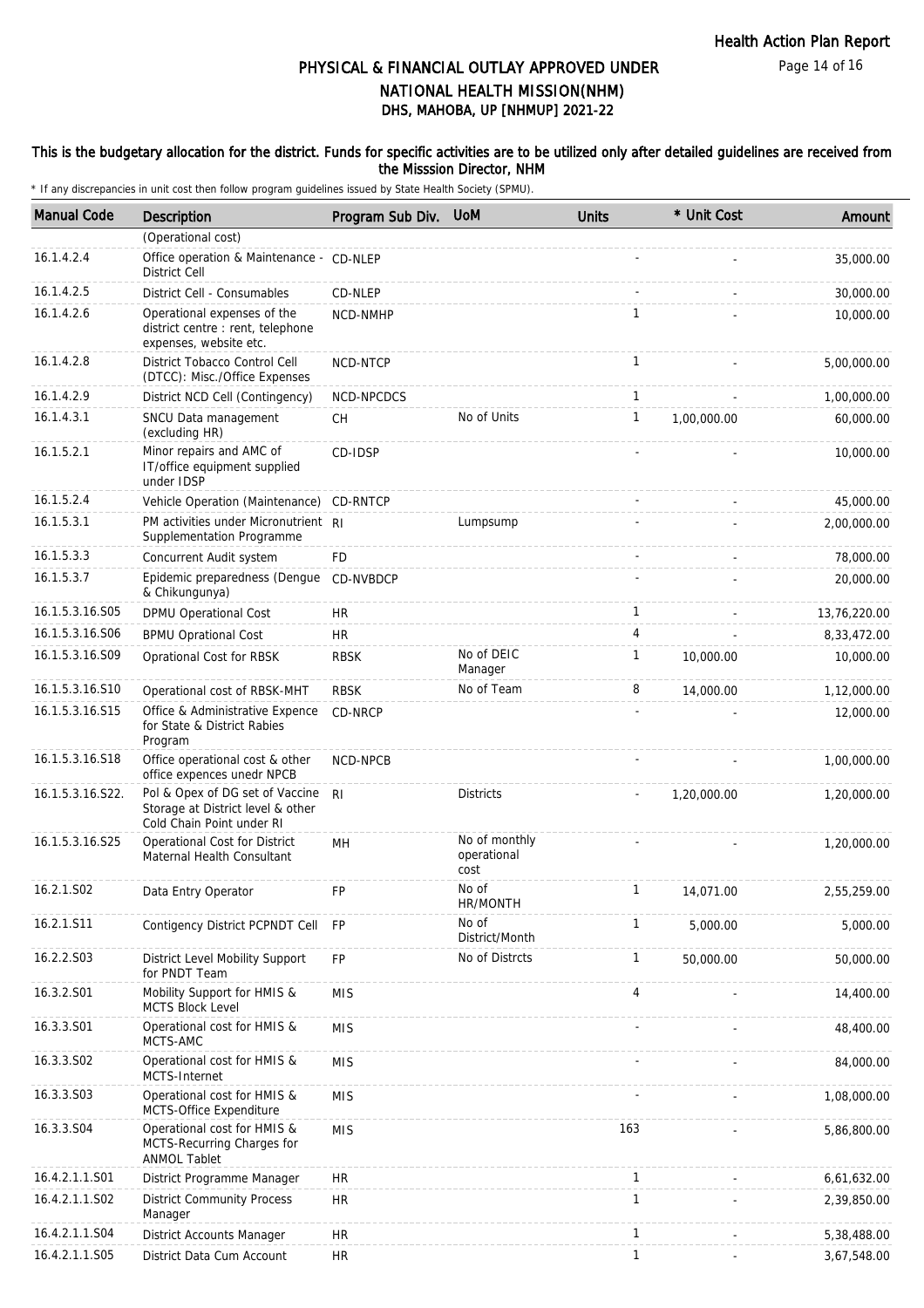Page 14 of 16

## DHS, MAHOBA, UP [NHMUP] 2021-22 PHYSICAL & FINANCIAL OUTLAY APPROVED UNDER NATIONAL HEALTH MISSION(NHM)

#### This is the budgetary allocation for the district. Funds for specific activities are to be utilized only after detailed guidelines are received from the Misssion Director, NHM

| <b>Manual Code</b> | Description                                                                                       | Program Sub Div. UoM |                                      | <b>Units</b>   | * Unit Cost | Amount       |
|--------------------|---------------------------------------------------------------------------------------------------|----------------------|--------------------------------------|----------------|-------------|--------------|
|                    | (Operational cost)                                                                                |                      |                                      |                |             |              |
| 16.1.4.2.4         | Office operation & Maintenance - CD-NLEP<br><b>District Cell</b>                                  |                      |                                      |                |             | 35,000.00    |
| 16.1.4.2.5         | District Cell - Consumables                                                                       | CD-NLEP              |                                      |                |             | 30,000.00    |
| 16.1.4.2.6         | Operational expenses of the<br>district centre : rent, telephone<br>expenses, website etc.        | NCD-NMHP             |                                      | $\mathbf{1}$   |             | 10,000.00    |
| 16.1.4.2.8         | District Tobacco Control Cell<br>(DTCC): Misc./Office Expenses                                    | NCD-NTCP             |                                      | $\mathbf{1}$   |             | 5,00,000.00  |
| 16.1.4.2.9         | District NCD Cell (Contingency)                                                                   | NCD-NPCDCS           |                                      | $\mathbf{1}$   |             | 1,00,000.00  |
| 16.1.4.3.1         | SNCU Data management<br>(excluding HR)                                                            | СH                   | No of Units                          | $\mathbf{1}$   | 1,00,000.00 | 60,000.00    |
| 16.1.5.2.1         | Minor repairs and AMC of<br>IT/office equipment supplied<br>under IDSP                            | CD-IDSP              |                                      |                |             | 10,000.00    |
| 16.1.5.2.4         | Vehicle Operation (Maintenance)                                                                   | <b>CD-RNTCP</b>      |                                      |                |             | 45,000.00    |
| 16.1.5.3.1         | PM activities under Micronutrient RI<br>Supplementation Programme                                 |                      | Lumpsump                             |                |             | 2,00,000.00  |
| 16.1.5.3.3         | Concurrent Audit system                                                                           | FD                   |                                      |                |             | 78,000.00    |
| 16.1.5.3.7         | Epidemic preparedness (Dengue<br>& Chikungunya)                                                   | CD-NVBDCP            |                                      |                |             | 20,000.00    |
| 16.1.5.3.16.S05    | DPMU Operational Cost                                                                             | <b>HR</b>            |                                      | $\mathbf{1}$   |             | 13,76,220.00 |
| 16.1.5.3.16.S06    | <b>BPMU Oprational Cost</b>                                                                       | <b>HR</b>            |                                      | 4              |             | 8,33,472.00  |
| 16.1.5.3.16.S09    | Oprational Cost for RBSK                                                                          | <b>RBSK</b>          | No of DEIC<br>Manager                | $\mathbf{1}$   | 10,000.00   | 10,000.00    |
| 16.1.5.3.16.S10    | Operational cost of RBSK-MHT                                                                      | <b>RBSK</b>          | No of Team                           | 8              | 14,000.00   | 1,12,000.00  |
| 16.1.5.3.16.S15    | Office & Administrative Expence<br>for State & District Rabies<br>Program                         | CD-NRCP              |                                      |                |             | 12,000.00    |
| 16.1.5.3.16.S18    | Office operational cost & other<br>office expences unedr NPCB                                     | NCD-NPCB             |                                      |                |             | 1,00,000.00  |
| 16.1.5.3.16.S22.   | Pol & Opex of DG set of Vaccine<br>Storage at District level & other<br>Cold Chain Point under RI | R <sub>l</sub>       | <b>Districts</b>                     |                | 1,20,000.00 | 1,20,000.00  |
| 16.1.5.3.16.S25    | Operational Cost for District<br>Maternal Health Consultant                                       | MH                   | No of monthly<br>operational<br>cost |                |             | 1,20,000.00  |
| 16.2.1.S02         | Data Entry Operator                                                                               | FP                   | No of<br>HR/MONTH                    |                | 14,071.00   | 2,55,259.00  |
| 16.2.1.S11         | Contigency District PCPNDT Cell                                                                   | <b>FP</b>            | No of<br>District/Month              | 1              | 5,000.00    | 5,000.00     |
| 16.2.2.S03         | District Level Mobility Support<br>for PNDT Team                                                  | FP                   | No of Distrcts                       | 1              | 50,000.00   | 50,000.00    |
| 16.3.2.S01         | Mobility Support for HMIS &<br><b>MCTS Block Level</b>                                            | <b>MIS</b>           |                                      | $\overline{4}$ |             | 14,400.00    |
| 16.3.3.S01         | Operational cost for HMIS &<br>MCTS-AMC                                                           | <b>MIS</b>           |                                      |                |             | 48,400.00    |
| 16.3.3.S02         | Operational cost for HMIS &<br>MCTS-Internet                                                      | <b>MIS</b>           |                                      |                |             | 84,000.00    |
| 16.3.3.S03         | Operational cost for HMIS &<br>MCTS-Office Expenditure                                            | <b>MIS</b>           |                                      |                |             | 1,08,000.00  |
| 16.3.3.S04         | Operational cost for HMIS &<br>MCTS-Recurring Charges for<br><b>ANMOL Tablet</b>                  | <b>MIS</b>           |                                      | 163            |             | 5,86,800.00  |
| 16.4.2.1.1.S01     | District Programme Manager                                                                        | HR                   |                                      | $\mathbf{1}$   |             | 6,61,632.00  |
| 16.4.2.1.1.S02     | <b>District Community Process</b><br>Manager                                                      | <b>HR</b>            |                                      | 1              |             | 2,39,850.00  |
| 16.4.2.1.1.S04     | District Accounts Manager                                                                         | HR                   |                                      | $\mathbf{1}$   |             | 5,38,488.00  |
| 16.4.2.1.1.S05     | District Data Cum Account                                                                         | <b>HR</b>            |                                      | $\mathbf{1}$   |             | 3,67,548.00  |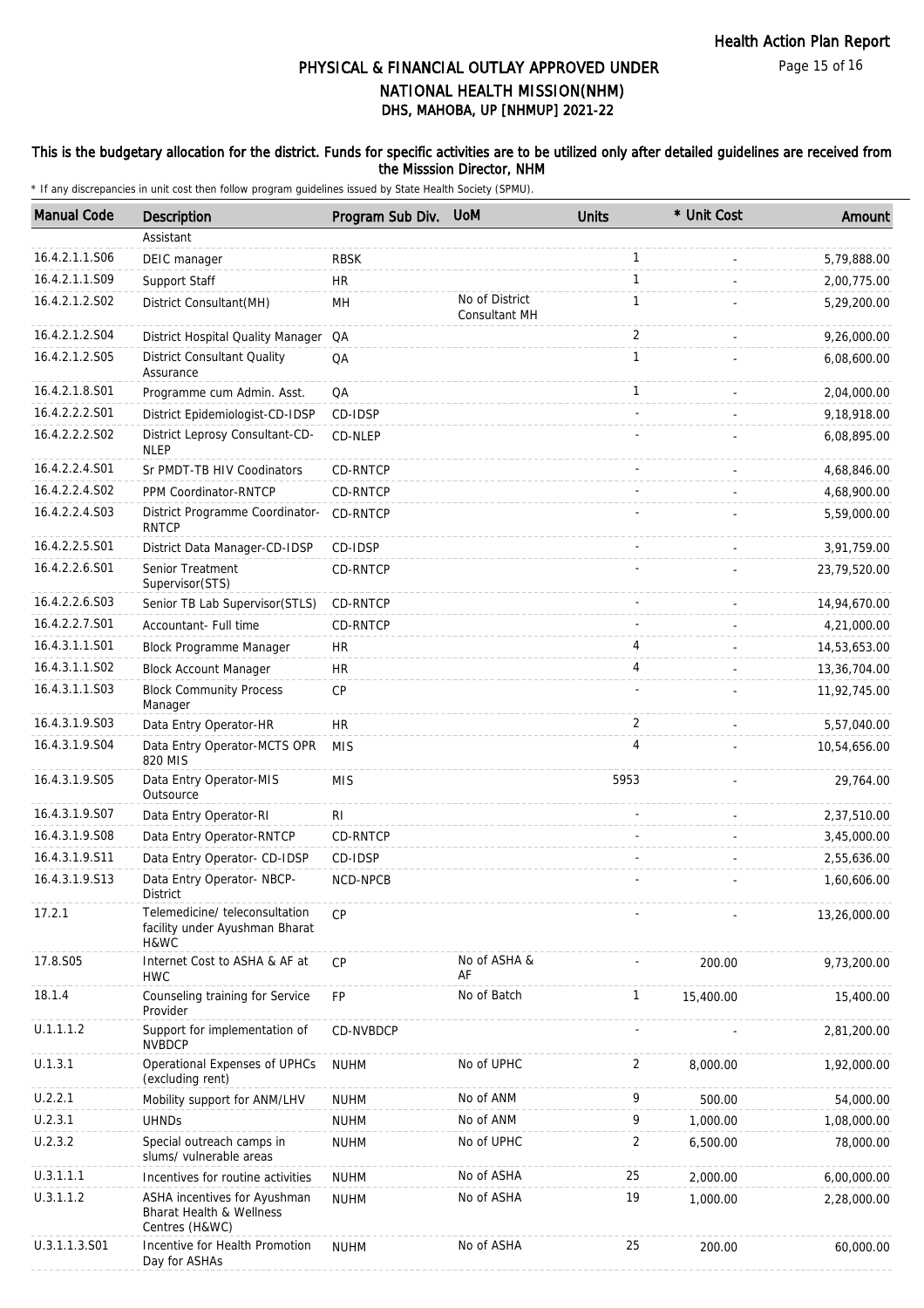#### This is the budgetary allocation for the district. Funds for specific activities are to be utilized only after detailed guidelines are received from the Misssion Director, NHM

| <b>Manual Code</b> | Description                                                                | Program Sub Div. | <b>UoM</b>                      | <b>Units</b>   | * Unit Cost | Amount       |
|--------------------|----------------------------------------------------------------------------|------------------|---------------------------------|----------------|-------------|--------------|
|                    | Assistant                                                                  |                  |                                 |                |             |              |
| 16.4.2.1.1.S06     | DEIC manager                                                               | <b>RBSK</b>      |                                 | $\mathbf{1}$   |             | 5,79,888.00  |
| 16.4.2.1.1.S09     | Support Staff                                                              | <b>HR</b>        |                                 | $\mathbf{1}$   |             | 2,00,775.00  |
| 16.4.2.1.2.S02     | District Consultant(MH)                                                    | MН               | No of District<br>Consultant MH | $\mathbf{1}$   |             | 5,29,200.00  |
| 16.4.2.1.2.S04     | District Hospital Quality Manager                                          | QA               |                                 | 2              |             | 9,26,000.00  |
| 16.4.2.1.2.S05     | <b>District Consultant Quality</b><br>Assurance                            | QA               |                                 | $\mathbf{1}$   |             | 6,08,600.00  |
| 16.4.2.1.8.S01     | Programme cum Admin. Asst.                                                 | QA               |                                 | $\mathbf{1}$   |             | 2,04,000.00  |
| 16.4.2.2.2.S01     | District Epidemiologist-CD-IDSP                                            | CD-IDSP          |                                 |                |             | 9,18,918.00  |
| 16.4.2.2.2.S02     | District Leprosy Consultant-CD-<br><b>NLEP</b>                             | CD-NLEP          |                                 |                |             | 6,08,895.00  |
| 16.4.2.2.4.S01     | Sr PMDT-TB HIV Coodinators                                                 | CD-RNTCP         |                                 |                |             | 4,68,846.00  |
| 16.4.2.2.4.S02     | PPM Coordinator-RNTCP                                                      | CD-RNTCP         |                                 |                |             | 4,68,900.00  |
| 16.4.2.2.4.S03     | District Programme Coordinator-<br><b>RNTCP</b>                            | CD-RNTCP         |                                 |                |             | 5,59,000.00  |
| 16.4.2.2.5.S01     | District Data Manager-CD-IDSP                                              | CD-IDSP          |                                 |                |             | 3,91,759.00  |
| 16.4.2.2.6.S01     | Senior Treatment<br>Supervisor(STS)                                        | CD-RNTCP         |                                 |                |             | 23,79,520.00 |
| 16.4.2.2.6.S03     | Senior TB Lab Supervisor(STLS)                                             | CD-RNTCP         |                                 |                |             | 14,94,670.00 |
| 16.4.2.2.7.S01     | Accountant- Full time                                                      | CD-RNTCP         |                                 |                |             | 4,21,000.00  |
| 16.4.3.1.1.S01     | Block Programme Manager                                                    | HR               |                                 | 4              |             | 14,53,653.00 |
| 16.4.3.1.1.S02     | <b>Block Account Manager</b>                                               | HR               |                                 | 4              |             | 13,36,704.00 |
| 16.4.3.1.1.S03     | <b>Block Community Process</b><br>Manager                                  | <b>CP</b>        |                                 |                |             | 11,92,745.00 |
| 16.4.3.1.9.S03     | Data Entry Operator-HR                                                     | <b>HR</b>        |                                 | 2              |             | 5,57,040.00  |
| 16.4.3.1.9.S04     | Data Entry Operator-MCTS OPR<br>820 MIS                                    | <b>MIS</b>       |                                 | 4              |             | 10,54,656.00 |
| 16.4.3.1.9.S05     | Data Entry Operator-MIS<br>Outsource                                       | <b>MIS</b>       |                                 | 5953           |             | 29,764.00    |
| 16.4.3.1.9.S07     | Data Entry Operator-RI                                                     | RI.              |                                 |                |             | 2,37,510.00  |
| 16.4.3.1.9.S08     | Data Entry Operator-RNTCP                                                  | CD-RNTCP         |                                 |                |             | 3,45,000.00  |
| 16.4.3.1.9.S11     | Data Entry Operator- CD-IDSP                                               | CD-IDSP          |                                 |                |             | 2,55,636.00  |
| 16.4.3.1.9.S13     | Data Entry Operator- NBCP-<br>District                                     | NCD-NPCB         |                                 |                |             | 1,60,606.00  |
| 17.2.1             | Telemedicine/ teleconsultation<br>facility under Ayushman Bharat<br>H&WC   | CP               |                                 |                |             | 13,26,000.00 |
| 17.8.S05           | Internet Cost to ASHA & AF at<br><b>HWC</b>                                | <b>CP</b>        | No of ASHA &<br>AF              |                | 200.00      | 9,73,200.00  |
| 18.1.4             | Counseling training for Service<br>Provider                                | FP               | No of Batch                     | 1              | 15,400.00   | 15,400.00    |
| U.1.1.1.2          | Support for implementation of<br><b>NVBDCP</b>                             | CD-NVBDCP        |                                 |                |             | 2,81,200.00  |
| U.1.3.1            | Operational Expenses of UPHCs<br>(excluding rent)                          | <b>NUHM</b>      | No of UPHC                      | 2              | 8,000.00    | 1,92,000.00  |
| U.2.2.1            | Mobility support for ANM/LHV                                               | <b>NUHM</b>      | No of ANM                       | 9              | 500.00      | 54,000.00    |
| U.2.3.1            | <b>UHNDs</b>                                                               | <b>NUHM</b>      | No of ANM                       | 9              | 1,000.00    | 1,08,000.00  |
| U.2.3.2            | Special outreach camps in<br>slums/ vulnerable areas                       | <b>NUHM</b>      | No of UPHC                      | $\overline{2}$ | 6,500.00    | 78,000.00    |
| U.3.1.1.1          | Incentives for routine activities                                          | <b>NUHM</b>      | No of ASHA                      | 25             | 2,000.00    | 6,00,000.00  |
| U.3.1.1.2          | ASHA incentives for Ayushman<br>Bharat Health & Wellness<br>Centres (H&WC) | <b>NUHM</b>      | No of ASHA                      | 19             | 1,000.00    | 2,28,000.00  |
| U.3.1.1.3.S01      | Incentive for Health Promotion<br>Day for ASHAs                            | <b>NUHM</b>      | No of ASHA                      | 25             | 200.00      | 60,000.00    |